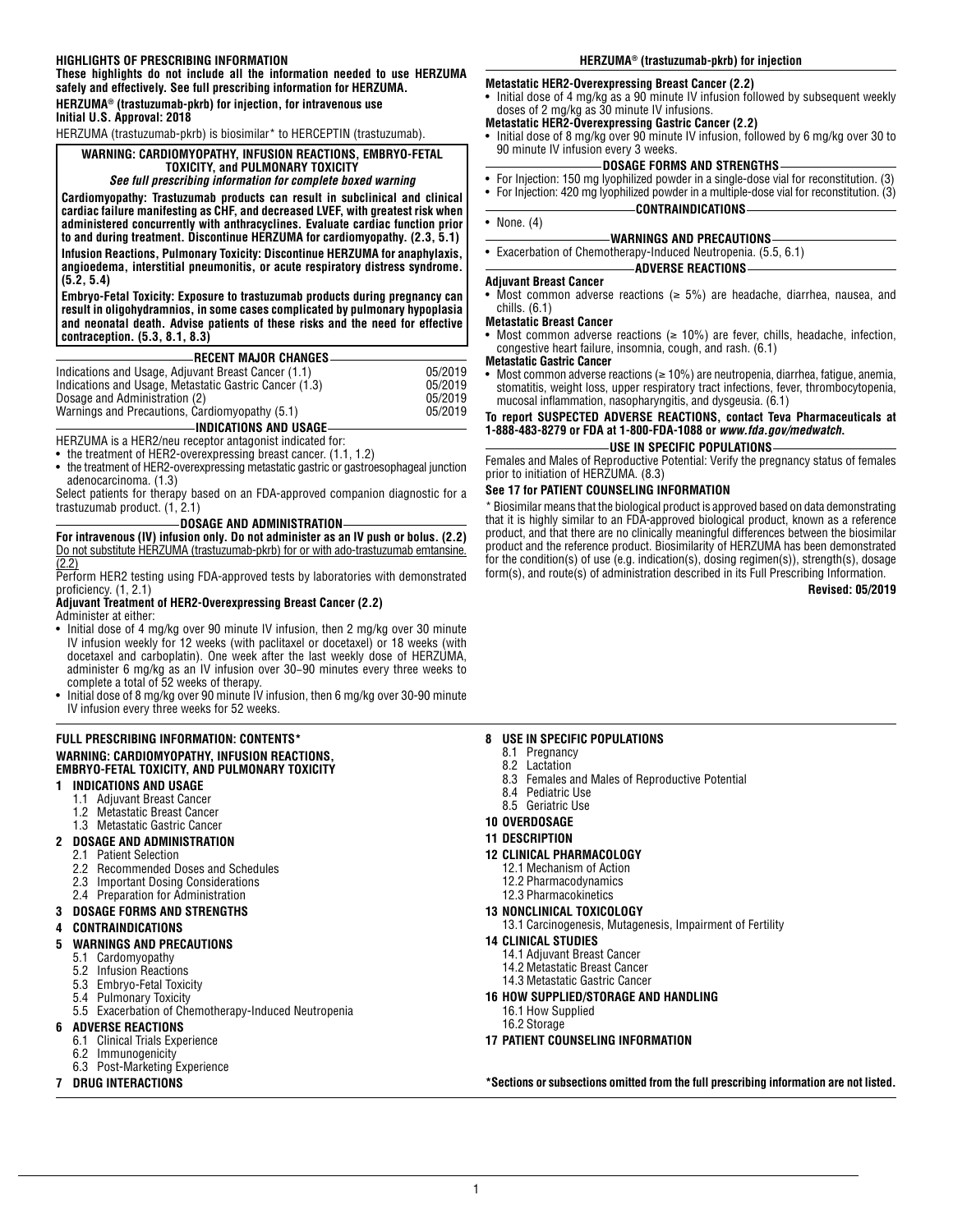### **HIGHLIGHTS OF PRESCRIBING INFORMATION**

**These highlights do not include all the information needed to use HERZUMA safely and effectively. See full prescribing information for HERZUMA. HERZUMA® (trastuzumab-pkrb) for injection, for intravenous use Initial U.S. Approval: 2018**

HERZUMA (trastuzumab-pkrb) is biosimilar\* to HERCEPTIN (trastuzumab).

# **WARNING: CARDIOMYOPATHY, INFUSION REACTIONS, EMBRYO-FETAL TOXICITY, and PULMONARY TOXICITY**

*See full prescribing information for complete boxed warning*

**Cardiomyopathy: Trastuzumab products can result in subclinical and clinical cardiac failure manifesting as CHF, and decreased LVEF, with greatest risk when administered concurrently with anthracyclines. Evaluate cardiac function prior to and during treatment. Discontinue HERZUMA for cardiomyopathy. (2.3, 5.1) Infusion Reactions, Pulmonary Toxicity: Discontinue HERZUMA for anaphylaxis, angioedema, interstitial pneumonitis, or acute respiratory distress syndrome. (5.2, 5.4)**

**Embryo-Fetal Toxicity: Exposure to trastuzumab products during pregnancy can result in oligohydramnios, in some cases complicated by pulmonary hypoplasia and neonatal death. Advise patients of these risks and the need for effective contraception. (5.3, 8.1, 8.3)**

# **RECENT MAJOR CHANGES**

| Indications and Usage, Adjuvant Breast Cancer (1.1)    | 05/2019 |  |  |  |  |
|--------------------------------------------------------|---------|--|--|--|--|
| Indications and Usage, Metastatic Gastric Cancer (1.3) | 05/2019 |  |  |  |  |
| Dosage and Administration (2)                          | 05/2019 |  |  |  |  |
| Warnings and Precautions, Cardiomyopathy (5.1)         | 05/2019 |  |  |  |  |
| -INDICATIONS AND USAGE-                                |         |  |  |  |  |

HERZUMA is a HER2/neu receptor antagonist indicated for:

• the treatment of HER2-overexpressing breast cancer. (1.1, 1.2)

• the treatment of HER2-overexpressing metastatic gastric or gastroesophageal junction adenocarcinoma. (1.3)

Select patients for therapy based on an FDA-approved companion diagnostic for a trastuzumab product. (1, 2.1)

#### **DOSAGE AND ADMINISTRATION**

**For intravenous (IV) infusion only. Do not administer as an IV push or bolus. (2.2)** Do not substitute HERZUMA (trastuzumab-pkrb) for or with ado-trastuzumab emtansine.  $(2.2)$ 

Perform HER2 testing using FDA-approved tests by laboratories with demonstrated proficiency. (1, 2.1)

#### **Adjuvant Treatment of HER2-Overexpressing Breast Cancer (2.2)**

Administer at either:

- Initial dose of 4 mg/kg over 90 minute IV infusion, then 2 mg/kg over 30 minute IV infusion weekly for 12 weeks (with paclitaxel or docetaxel) or 18 weeks (with docetaxel and carboplatin). One week after the last weekly dose of HERZUMA, administer 6 mg/kg as an IV infusion over 30−90 minutes every three weeks to complete a total of 52 weeks of therapy.
- Initial dose of 8 mg/kg over 90 minute IV infusion, then 6 mg/kg over 30-90 minute IV infusion every three weeks for 52 weeks.

#### **FULL PRESCRIBING INFORMATION: CONTENTS\* WARNING: CARDIOMYOPATHY, INFUSION REACTIONS, EMBRYO-FETAL TOXICITY, AND PULMONARY TOXICITY**

#### **1 INDICATIONS AND USAGE**

- 1.1 Adjuvant Breast Cancer
- 1.2 Metastatic Breast Cancer
- 1.3 Metastatic Gastric Cancer
- **2 DOSAGE AND ADMINISTRATION**
- 2.1 Patient Selection
- 2.2 Recommended Doses and Schedules
- 2.3 Important Dosing Considerations
- 2.4 Preparation for Administration
- **3 DOSAGE FORMS AND STRENGTHS**
- **4 CONTRAINDICATIONS**

## **5 WARNINGS AND PRECAUTIONS**

- 5.1 Cardomyopathy
- 
- 5.2 Infusion Reactions 5.3 Embryo-Fetal Toxicity
- 5.4 Pulmonary Toxicity
- 5.5 Exacerbation of Chemotherapy-Induced Neutropenia
- **6 ADVERSE REACTIONS**
- 6.1 Clinical Trials Experience
- 6.2 Immunogenicity
- 6.3 Post-Marketing Experience
- **7 DRUG INTERACTIONS**

#### **HERZUMA® (trastuzumab-pkrb) for injection**

#### **Metastatic HER2-Overexpressing Breast Cancer (2.2)**

- Initial dose of 4 mg/kg as a 90 minute IV infusion followed by subsequent weekly doses of 2 mg/kg as 30 minute IV infusions.
- **Metastatic HER2-Overexpressing Gastric Cancer (2.2)**
- Initial dose of 8 mg/kg over 90 minute IV infusion, followed by 6 mg/kg over 30 to 90 minute IV infusion every 3 weeks.

# **DOSAGE FORMS AND STRENGTHS**

- For Injection: 150 mg lyophilized powder in a single-dose vial for reconstitution. (3)
- For Injection: 420 mg lyophilized powder in a multiple-dose vial for reconstitution. (3) **CONTRAINDICATIONS**

• None. (4)

- **WARNINGS AND PRECAUTIONS**
- Exacerbation of Chemotherapy-Induced Neutropenia. (5.5, 6.1)

# **Adjuvant Breast Cancer**

Most common adverse reactions ( $\geq$  5%) are headache, diarrhea, nausea, and chills. (6.1)

**ADVERSE REACTIONS**

#### **Metastatic Breast Cancer**

Most common adverse reactions ( $\geq 10\%$ ) are fever, chills, headache, infection, congestive heart failure, insomnia, cough, and rash. (6.1)

#### **Metastatic Gastric Cancer**

Most common adverse reactions ( $\geq 10\%$ ) are neutropenia, diarrhea, fatigue, anemia, stomatitis, weight loss, upper respiratory tract infections, fever, thrombocytopenia, mucosal inflammation, nasopharyngitis, and dysgeusia. (6.1)

# **To report SUSPECTED ADVERSE REACTIONS, contact Teva Pharmaceuticals at 1-888-483-8279 or FDA at 1-800-FDA-1088 or** *www.fda.gov/medwatch***.**

**USE IN SPECIFIC POPULATIONS** Females and Males of Reproductive Potential: Verify the pregnancy status of females prior to initiation of HERZUMA. (8.3)

#### **See 17 for PATIENT COUNSELING INFORMATION**

\* Biosimilar means that the biological product is approved based on data demonstrating that it is highly similar to an FDA-approved biological product, known as a reference product, and that there are no clinically meaningful differences between the biosimilar product and the reference product. Biosimilarity of HERZUMA has been demonstrated for the condition(s) of use (e.g. indication(s), dosing regimen(s)), strength(s), dosage form(s), and route(s) of administration described in its Full Prescribing Information.

**Revised: 05/2019**

#### **8 USE IN SPECIFIC POPULATIONS**

- 8.1 Pregnancy
- 8.2 Lactation
- 8.3 Females and Males of Reproductive Potential
- 8.4 Pediatric Use
- 8.5 Geriatric Use

# **10 OVERDOSAGE**

- **11 DESCRIPTION**
- **12 CLINICAL PHARMACOLOGY**
	- 12.1 Mechanism of Action
	- 12.2 Pharmacodynamics
	- 12.3 Pharmacokinetics

# **13 NONCLINICAL TOXICOLOGY**

13.1 Carcinogenesis, Mutagenesis, Impairment of Fertility

#### **14 CLINICAL STUDIES**

- 14.1 Adjuvant Breast Cancer
- 14.2 Metastatic Breast Cancer
- 14.3 Metastatic Gastric Cancer
- **16 HOW SUPPLIED/STORAGE AND HANDLING**
	- 16.1 How Supplied 16.2 Storage
	-
- **17 PATIENT COUNSELING INFORMATION**

**\*Sections or subsections omitted from the full prescribing information are not listed.**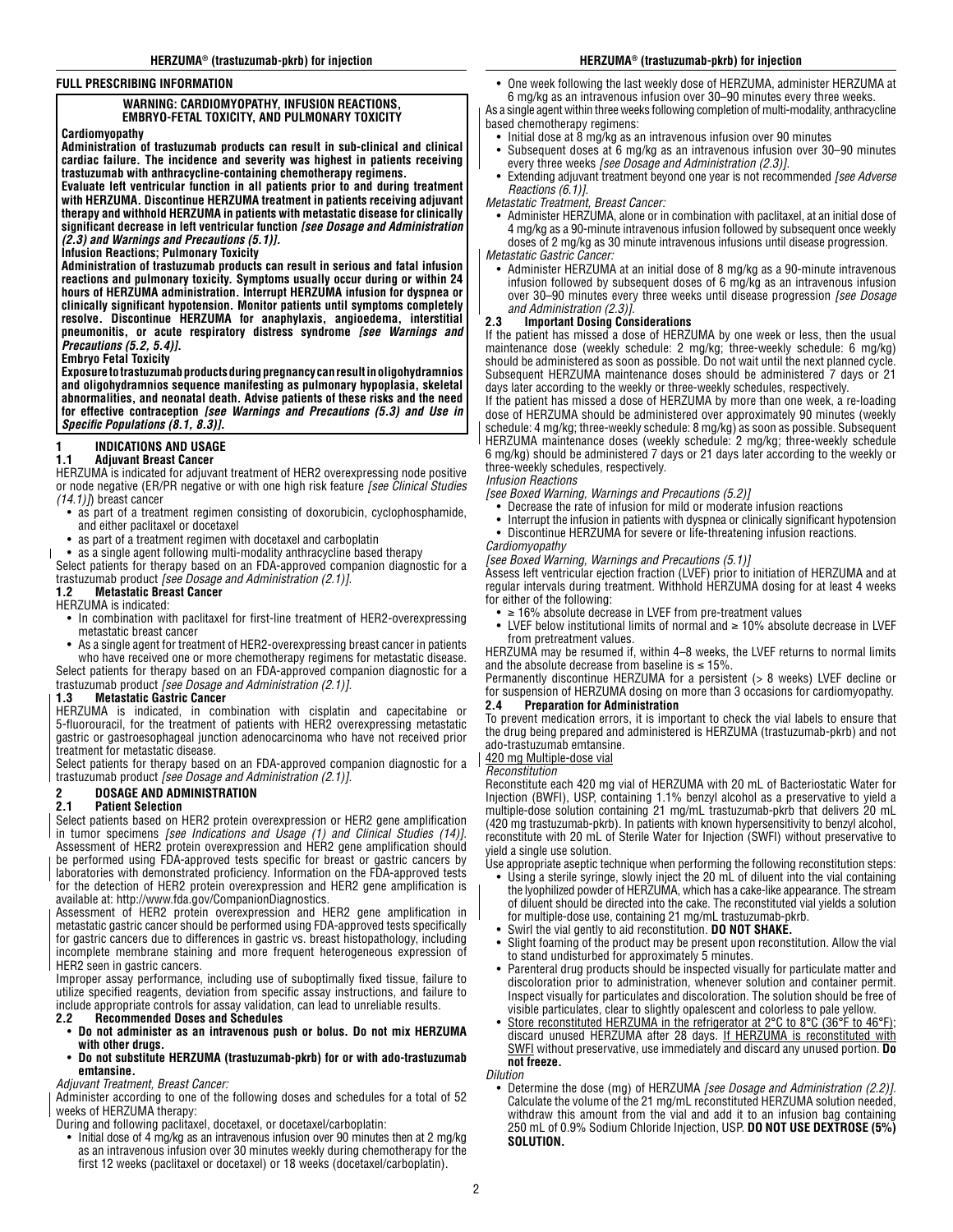#### **FULL PRESCRIBING INFORMATION**

### **WARNING: CARDIOMYOPATHY, INFUSION REACTIONS, EMBRYO-FETAL TOXICITY, AND PULMONARY TOXICITY**

#### **Cardiomyopathy**

**Administration of trastuzumab products can result in sub-clinical and clinical cardiac failure. The incidence and severity was highest in patients receiving trastuzumab with anthracycline-containing chemotherapy regimens.**

**Evaluate left ventricular function in all patients prior to and during treatment with HERZUMA. Discontinue HERZUMA treatment in patients receiving adjuvant therapy and withhold HERZUMA in patients with metastatic disease for clinically significant decrease in left ventricular function** *[see Dosage and Administration (2.3) and Warnings and Precautions (5.1)].*

#### **Infusion Reactions; Pulmonary Toxicity**

**Administration of trastuzumab products can result in serious and fatal infusion reactions and pulmonary toxicity. Symptoms usually occur during or within 24 hours of HERZUMA administration. Interrupt HERZUMA infusion for dyspnea or clinically significant hypotension. Monitor patients until symptoms completely resolve. Discontinue HERZUMA for anaphylaxis, angioedema, interstitial pneumonitis, or acute respiratory distress syndrome** *[see Warnings and Precautions (5.2, 5.4)]***.**

#### **Embryo Fetal Toxicity**

**Exposure to trastuzumab products during pregnancy can result in oligohydramnios and oligohydramnios sequence manifesting as pulmonary hypoplasia, skeletal abnormalities, and neonatal death. Advise patients of these risks and the need for effective contraception** *[see Warnings and Precautions (5.3) and Use in Specific Populations (8.1, 8.3)]***.**

# **1 INDICATIONS AND USAGE**

### **1.1 Adjuvant Breast Cancer**

HERZUMA is indicated for adjuvant treatment of HER2 overexpressing node positive or node negative (ER/PR negative or with one high risk feature *[see Clinical Studies (14.1)]*) breast cancer

- as part of a treatment regimen consisting of doxorubicin, cyclophosphamide, and either paclitaxel or docetaxel
- as part of a treatment regimen with docetaxel and carboplatin
- as a single agent following multi-modality anthracycline based therapy

Select patients for therapy based on an FDA-approved companion diagnostic for a trastuzumab product *[see Dosage and Administration (2.1)]*.

# **1.2 Metastatic Breast Cancer**

HERZUMA is indicated:

- In combination with paclitaxel for first-line treatment of HER2-overexpressing metastatic breast cancer
- As a single agent for treatment of HER2-overexpressing breast cancer in patients who have received one or more chemotherapy regimens for metastatic disease.

Select patients for therapy based on an FDA-approved companion diagnostic for a trastuzumab product *[see Dosage and Administration (2.1)]*.

#### **1.3 Metastatic Gastric Cancer**

HERZUMA is indicated, in combination with cisplatin and capecitabine or 5-fluorouracil, for the treatment of patients with HER2 overexpressing metastatic gastric or gastroesophageal junction adenocarcinoma who have not received prior treatment for metastatic disease.

Select patients for therapy based on an FDA-approved companion diagnostic for a trastuzumab product *[see Dosage and Administration (2.1)]*.

# **2 DOSAGE AND ADMINISTRATION**

#### **2.1 Patient Selection**

Select patients based on HER2 protein overexpression or HER2 gene amplification in tumor specimens *[see Indications and Usage (1) and Clinical Studies (14)]*. Assessment of HER2 protein overexpression and HER2 gene amplification should

be performed using FDA-approved tests specific for breast or gastric cancers by laboratories with demonstrated proficiency. Information on the FDA-approved tests for the detection of HER2 protein overexpression and HER2 gene amplification is available at: http://www.fda.gov/CompanionDiagnostics.

Assessment of HER2 protein overexpression and HER2 gene amplification in metastatic gastric cancer should be performed using FDA-approved tests specifically for gastric cancers due to differences in gastric vs. breast histopathology, including incomplete membrane staining and more frequent heterogeneous expression of HER2 seen in gastric cancers.

Improper assay performance, including use of suboptimally fixed tissue, failure to utilize specified reagents, deviation from specific assay instructions, and failure to include appropriate controls for assay validation, can lead to unreliable results.

### **2.2 Recommended Doses and Schedules**

- **Do not administer as an intravenous push or bolus. Do not mix HERZUMA with other drugs.**
- **Do not substitute HERZUMA (trastuzumab-pkrb) for or with ado-trastuzumab emtansine.**

#### *Adjuvant Treatment, Breast Cancer:*

Administer according to one of the following doses and schedules for a total of 52 weeks of HERZUMA therapy:

- During and following paclitaxel, docetaxel, or docetaxel/carboplatin:
	- Initial dose of 4 mg/kg as an intravenous infusion over 90 minutes then at 2 mg/kg as an intravenous infusion over 30 minutes weekly during chemotherapy for the first 12 weeks (paclitaxel or docetaxel) or 18 weeks (docetaxel/carboplatin).

# **HERZUMA® (trastuzumab-pkrb) for injection HERZUMA® (trastuzumab-pkrb) for injection**

• One week following the last weekly dose of HERZUMA, administer HERZUMA at 6 mg/kg as an intravenous infusion over 30–90 minutes every three weeks.

As a single agent within three weeks following completion of multi-modality, anthracycline based chemotherapy regimens:

- Initial dose at 8 mg/kg as an intravenous infusion over 90 minutes
- Subsequent doses at 6 mg/kg as an intravenous infusion over 30–90 minutes every three weeks *[see Dosage and Administration (2.3)]*.
- Extending adjuvant treatment beyond one year is not recommended *[see Adverse Reactions (6.1)]*.

### *Metastatic Treatment, Breast Cancer:*

• Administer HERZUMA, alone or in combination with paclitaxel, at an initial dose of 4 mg/kg as a 90-minute intravenous infusion followed by subsequent once weekly doses of 2 mg/kg as 30 minute intravenous infusions until disease progression. *Metastatic Gastric Cancer:*

• Administer HERZUMA at an initial dose of 8 mg/kg as a 90-minute intravenous infusion followed by subsequent doses of 6 mg/kg as an intravenous infusion

over 30–90 minutes every three weeks until disease progression *[see Dosage and Administration (2.3)]*.

### **2.3 Important Dosing Considerations**

If the patient has missed a dose of HERZUMA by one week or less, then the usual maintenance dose (weekly schedule: 2 mg/kg; three-weekly schedule: 6 mg/kg) should be administered as soon as possible. Do not wait until the next planned cycle. Subsequent HERZUMA maintenance doses should be administered 7 days or 21 days later according to the weekly or three-weekly schedules, respectively.

If the patient has missed a dose of HERZUMA by more than one week, a re-loading dose of HERZUMA should be administered over approximately 90 minutes (weekly schedule: 4 mg/kg; three-weekly schedule: 8 mg/kg) as soon as possible. Subsequent HERZUMA maintenance doses (weekly schedule: 2 mg/kg; three-weekly schedule 6 mg/kg) should be administered 7 days or 21 days later according to the weekly or three-weekly schedules, respectively.

# *Infusion Reactions*

*[see Boxed Warning, Warnings and Precautions (5.2)]*

- Decrease the rate of infusion for mild or moderate infusion reactions
- Interrupt the infusion in patients with dyspnea or clinically significant hypotension
- Discontinue HERZUMA for severe or life-threatening infusion reactions.

#### *Cardiomyopathy [see Boxed Warning, Warnings and Precautions (5.1)]*

Assess left ventricular ejection fraction (LVEF) prior to initiation of HERZUMA and at regular intervals during treatment. Withhold HERZUMA dosing for at least 4 weeks for either of the following:

- ≥ 16% absolute decrease in LVEF from pre-treatment values
- LVEF below institutional limits of normal and ≥ 10% absolute decrease in LVEF from pretreatment values.

HERZUMA may be resumed if, within 4–8 weeks, the LVEF returns to normal limits and the absolute decrease from baseline is  $\leq 15\%$ 

Permanently discontinue HERZUMA for a persistent (> 8 weeks) LVEF decline or for suspension of HERZUMA dosing on more than 3 occasions for cardiomyopathy. **2.4 Preparation for Administration**

To prevent medication errors, it is important to check the vial labels to ensure that the drug being prepared and administered is HERZUMA (trastuzumab-pkrb) and not ado-trastuzumab emtansine.

#### 420 mg Multiple-dose vial

#### *Reconstitution*

Reconstitute each 420 mg vial of HERZUMA with 20 mL of Bacteriostatic Water for Injection (BWFI), USP, containing 1.1% benzyl alcohol as a preservative to yield a multiple-dose solution containing 21 mg/mL trastuzumab-pkrb that delivers 20 mL (420 mg trastuzumab-pkrb). In patients with known hypersensitivity to benzyl alcohol, reconstitute with 20 mL of Sterile Water for Injection (SWFI) without preservative to yield a single use solution.

Use appropriate aseptic technique when performing the following reconstitution steps:

- Using a sterile syringe, slowly inject the 20 mL of diluent into the vial containing the lyophilized powder of HERZUMA, which has a cake-like appearance. The stream of diluent should be directed into the cake. The reconstituted vial yields a solution for multiple-dose use, containing 21 mg/mL trastuzumab-pkrb.
- Swirl the vial gently to aid reconstitution. **DO NOT SHAKE.**
- Slight foaming of the product may be present upon reconstitution. Allow the vial to stand undisturbed for approximately 5 minutes.
- Parenteral drug products should be inspected visually for particulate matter and discoloration prior to administration, whenever solution and container permit. Inspect visually for particulates and discoloration. The solution should be free of visible particulates, clear to slightly opalescent and colorless to pale yellow.
- Store reconstituted HERZUMA in the refrigerator at 2°C to 8°C (36°F to 46°F); discard unused HERZUMA after 28 days. If HERZUMA is reconstituted with SWFI without preservative, use immediately and discard any unused portion. **Do not freeze.**

#### *Dilution*

• Determine the dose (mg) of HERZUMA *[see Dosage and Administration (2.2)]*. Calculate the volume of the 21 mg/mL reconstituted HERZUMA solution needed, withdraw this amount from the vial and add it to an infusion bag containing 250 mL of 0.9% Sodium Chloride Injection, USP. **DO NOT USE DEXTROSE (5%) SOLUTION.**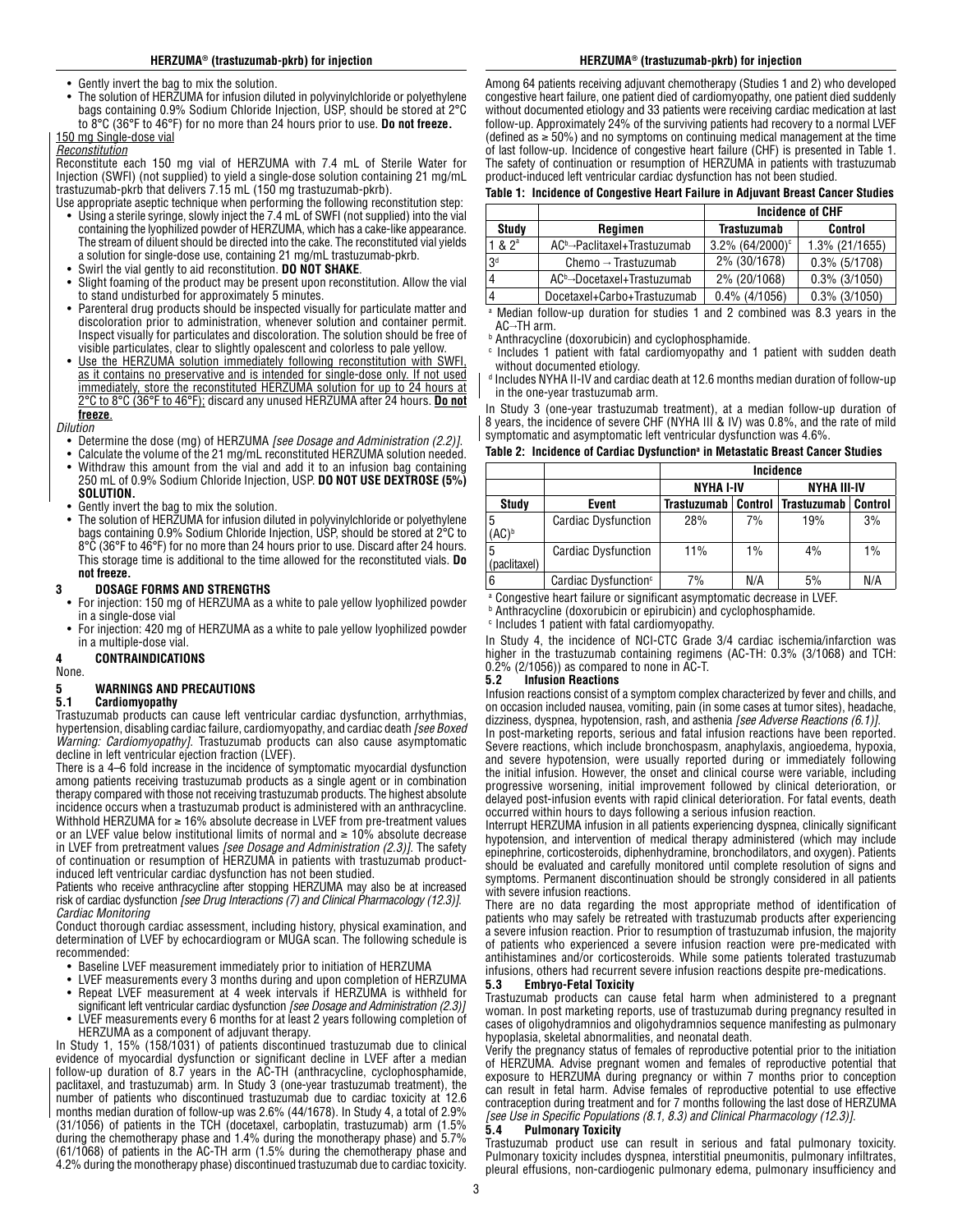- Gently invert the bag to mix the solution.
- The solution of HERZUMA for infusion diluted in polyvinylchloride or polyethylene bags containing 0.9% Sodium Chloride Injection, USP, should be stored at 2°C to 8°C (36°F to 46°F) for no more than 24 hours prior to use. **Do not freeze.** 150 mg Single-dose vial

# *Reconstitution*

Reconstitute each 150 mg vial of HERZUMA with 7.4 mL of Sterile Water for Injection (SWFI) (not supplied) to yield a single-dose solution containing 21 mg/mL trastuzumab-pkrb that delivers 7.15 mL (150 mg trastuzumab-pkrb).

- Use appropriate aseptic technique when performing the following reconstitution step: • Using a sterile syringe, slowly inject the 7.4 mL of SWFI (not supplied) into the vial containing the lyophilized powder of HERZUMA, which has a cake-like appearance. The stream of diluent should be directed into the cake. The reconstituted vial yields a solution for single-dose use, containing 21 mg/mL trastuzumab-pkrb.
	- Swirl the vial gently to aid reconstitution. **DO NOT SHAKE**.
	- Slight foaming of the product may be present upon reconstitution. Allow the vial to stand undisturbed for approximately 5 minutes.
	- Parenteral drug products should be inspected visually for particulate matter and discoloration prior to administration, whenever solution and container permit. Inspect visually for particulates and discoloration. The solution should be free of visible particulates, clear to slightly opalescent and colorless to pale yellow.
	- Use the HERZUMA solution immediately following reconstitution with SWFI, as it contains no preservative and is intended for single-dose only. If not used immediately, store the reconstituted HERZUMA solution for up to 24 hours at 2°C to 8°C (36°F to 46°F); discard any unused HERZUMA after 24 hours. **Do not freeze**.

# *Dilution*

- Determine the dose (mg) of HERZUMA *[see Dosage and Administration (2.2)]*.
- Calculate the volume of the 21 mg/mL reconstituted HERZUMA solution needed.
- Withdraw this amount from the vial and add it to an infusion bag containing 250 mL of 0.9% Sodium Chloride Injection, USP. **DO NOT USE DEXTROSE (5%) SOLUTION.**
- Gently invert the bag to mix the solution.
- The solution of HERZUMA for infusion diluted in polyvinylchloride or polyethylene bags containing 0.9% Sodium Chloride Injection, USP, should be stored at 2°C to 8°C (36°F to 46°F) for no more than 24 hours prior to use. Discard after 24 hours. This storage time is additional to the time allowed for the reconstituted vials. **Do not freeze.**

#### **3 DOSAGE FORMS AND STRENGTHS**

- For injection: 150 mg of HERZUMA as a white to pale yellow lyophilized powder in a single-dose vial
- For injection: 420 mg of HERZUMA as a white to pale yellow lyophilized powder in a multiple-dose vial.

#### **4 CONTRAINDICATIONS**

None.

# **5 WARNINGS AND PRECAUTIONS**

#### **5.1 Cardiomyopathy**

Trastuzumab products can cause left ventricular cardiac dysfunction, arrhythmias, hypertension, disabling cardiac failure, cardiomyopathy, and cardiac death *[see Boxed Warning: Cardiomyopathy]*. Trastuzumab products can also cause asymptomatic decline in left ventricular ejection fraction (LVEF).

There is a 4–6 fold increase in the incidence of symptomatic myocardial dysfunction among patients receiving trastuzumab products as a single agent or in combination therapy compared with those not receiving trastuzumab products. The highest absolute incidence occurs when a trastuzumab product is administered with an anthracycline. Withhold HERZUMA for ≥ 16% absolute decrease in LVEF from pre-treatment values or an LVEF value below institutional limits of normal and  $\geq 10\%$  absolute decrease in LVEF from pretreatment values *[see Dosage and Administration (2.3)]*. The safety of continuation or resumption of HERZUMA in patients with trastuzumab productinduced left ventricular cardiac dysfunction has not been studied.

Patients who receive anthracycline after stopping HERZUMA may also be at increased risk of cardiac dysfunction *[see Drug Interactions (7) and Clinical Pharmacology (12.3)]*. *Cardiac Monitoring*

Conduct thorough cardiac assessment, including history, physical examination, and determination of LVEF by echocardiogram or MUGA scan. The following schedule is recommended:

- Baseline LVEF measurement immediately prior to initiation of HERZUMA
- LVEF measurements every 3 months during and upon completion of HERZUMA
- Repeat LVEF measurement at 4 week intervals if HERZUMA is withheld for significant left ventricular cardiac dysfunction *[see Dosage and Administration (2.3)]*
- LVEF measurements every 6 months for at least 2 years following completion of HERZUMA as a component of adjuvant therapy.

In Study 1, 15% (158/1031) of patients discontinued trastuzumab due to clinical evidence of myocardial dysfunction or significant decline in LVEF after a median follow-up duration of 8.7 years in the AC-TH (anthracycline, cyclophosphamide, paclitaxel, and trastuzumab) arm. In Study 3 (one-year trastuzumab treatment), the number of patients who discontinued trastuzumab due to cardiac toxicity at 12.6 months median duration of follow-up was 2.6% (44/1678). In Study 4, a total of 2.9% (31/1056) of patients in the TCH (docetaxel, carboplatin, trastuzumab) arm (1.5%

during the chemotherapy phase and 1.4% during the monotherapy phase) and 5.7% (61/1068) of patients in the AC-TH arm (1.5% during the chemotherapy phase and 4.2% during the monotherapy phase) discontinued trastuzumab due to cardiac toxicity.

#### Among 64 patients receiving adjuvant chemotherapy (Studies 1 and 2) who developed congestive heart failure, one patient died of cardiomyopathy, one patient died suddenly without documented etiology and 33 patients were receiving cardiac medication at last follow-up. Approximately 24% of the surviving patients had recovery to a normal LVEF (defined as  $\geq$  50%) and no symptoms on continuing medical management at the time of last follow-up. Incidence of congestive heart failure (CHF) is presented in Table 1. The safety of continuation or resumption of HERZUMA in patients with trastuzumab

#### **Table 1: Incidence of Congestive Heart Failure in Adjuvant Breast Cancer Studies**

product-induced left ventricular cardiac dysfunction has not been studied.

|                |                                         | <b>Incidence of CHF</b>        |                  |  |  |
|----------------|-----------------------------------------|--------------------------------|------------------|--|--|
| <b>Study</b>   | Regimen                                 | <b>Trastuzumab</b>             | <b>Control</b>   |  |  |
| $1 & 2^a$      | AC <sup>b</sup> →Paclitaxel+Trastuzumab | $3.2\%$ (64/2000) <sup>c</sup> | 1.3% (21/1655)   |  |  |
| 3 <sup>d</sup> | Chemo $\rightarrow$ Trastuzumab         | 2% (30/1678)                   | $0.3\%$ (5/1708) |  |  |
| 4              | AC <sup>b</sup> →Docetaxel+Trastuzumab  | 2% (20/1068)                   | $0.3\%$ (3/1050) |  |  |
| 4              | Docetaxel+Carbo+Trastuzumab             | $0.4\%$ (4/1056)               | $0.3\%$ (3/1050) |  |  |

a Median follow-up duration for studies 1 and 2 combined was 8.3 years in the AC<sup>→</sup>TH arm. b

**b** Anthracycline (doxorubicin) and cyclophosphamide.

- c Includes 1 patient with fatal cardiomyopathy and 1 patient with sudden death without documented etiology.
- d Includes NYHA II-IV and cardiac death at 12.6 months median duration of follow-up in the one-year trastuzumab arm.

In Study 3 (one-year trastuzumab treatment), at a median follow-up duration of 8 years, the incidence of severe CHF (NYHA III & IV) was 0.8%, and the rate of mild symptomatic and asymptomatic left ventricular dysfunction was 4.6%.

# Table 2: Incidence of Cardiac Dysfunction<sup>a</sup> in Metastatic Breast Cancer Studies

|                        |                                  | <b>Incidence</b>   |       |                       |                    |  |
|------------------------|----------------------------------|--------------------|-------|-----------------------|--------------------|--|
|                        |                                  | <b>NYHA I-IV</b>   |       |                       | <b>NYHA III-IV</b> |  |
| <b>Study</b>           | Event                            | <b>Trastuzumab</b> |       | Control   Trastuzumab | <b>Control</b>     |  |
| 5<br>(AC) <sup>b</sup> | <b>Cardiac Dysfunction</b>       | 28%                | 7%    | 19%                   | 3%                 |  |
| 5<br>(paclitaxel)      | <b>Cardiac Dysfunction</b>       | 11%                | $1\%$ | 4%                    | 1%                 |  |
| 6                      | Cardiac Dysfunction <sup>c</sup> | 7%                 | N/A   | 5%                    | N/A                |  |

<sup>a</sup> Congestive heart failure or significant asymptomatic decrease in LVEF.

<sup>b</sup> Anthracycline (doxorubicin or epirubicin) and cyclophosphamide.

<sup>c</sup> Includes 1 patient with fatal cardiomyopathy.

In Study 4, the incidence of NCI-CTC Grade 3/4 cardiac ischemia/infarction was higher in the trastuzumab containing regimens (AC-TH: 0.3% (3/1068) and TCH: 0.2% (2/1056)) as compared to none in AC-T.

#### **5.2 Infusion Reactions**

Infusion reactions consist of a symptom complex characterized by fever and chills, and on occasion included nausea, vomiting, pain (in some cases at tumor sites), headache, dizziness, dyspnea, hypotension, rash, and asthenia *[see Adverse Reactions (6.1)]*.

In post-marketing reports, serious and fatal infusion reactions have been reported. Severe reactions, which include bronchospasm, anaphylaxis, angioedema, hypoxia, and severe hypotension, were usually reported during or immediately following the initial infusion. However, the onset and clinical course were variable, including progressive worsening, initial improvement followed by clinical deterioration, or delayed post-infusion events with rapid clinical deterioration. For fatal events, death occurred within hours to days following a serious infusion reaction.

Interrupt HERZUMA infusion in all patients experiencing dyspnea, clinically significant hypotension, and intervention of medical therapy administered (which may include epinephrine, corticosteroids, diphenhydramine, bronchodilators, and oxygen). Patients should be evaluated and carefully monitored until complete resolution of signs and symptoms. Permanent discontinuation should be strongly considered in all patients with severe infusion reactions.

There are no data regarding the most appropriate method of identification of patients who may safely be retreated with trastuzumab products after experiencing a severe infusion reaction. Prior to resumption of trastuzumab infusion, the majority of patients who experienced a severe infusion reaction were pre-medicated with antihistamines and/or corticosteroids. While some patients tolerated trastuzumab infusions, others had recurrent severe infusion reactions despite pre-medications.

#### **5.3 Embryo-Fetal Toxicity**

Trastuzumab products can cause fetal harm when administered to a pregnant woman. In post marketing reports, use of trastuzumab during pregnancy resulted in cases of oligohydramnios and oligohydramnios sequence manifesting as pulmonary hypoplasia, skeletal abnormalities, and neonatal death.

Verify the pregnancy status of females of reproductive potential prior to the initiation of HERZUMA. Advise pregnant women and females of reproductive potential that exposure to HERZUMA during pregnancy or within 7 months prior to conception can result in fetal harm. Advise females of reproductive potential to use effective contraception during treatment and for 7 months following the last dose of HERZUMA *[see Use in Specific Populations (8.1, 8.3) and Clinical Pharmacology (12.3)].*

### **5.4 Pulmonary Toxicity**

Trastuzumab product use can result in serious and fatal pulmonary toxicity. Pulmonary toxicity includes dyspnea, interstitial pneumonitis, pulmonary infiltrates, pleural effusions, non-cardiogenic pulmonary edema, pulmonary insufficiency and

#### **HERZUMA® (trastuzumab-pkrb) for injection HERZUMA® (trastuzumab-pkrb) for injection**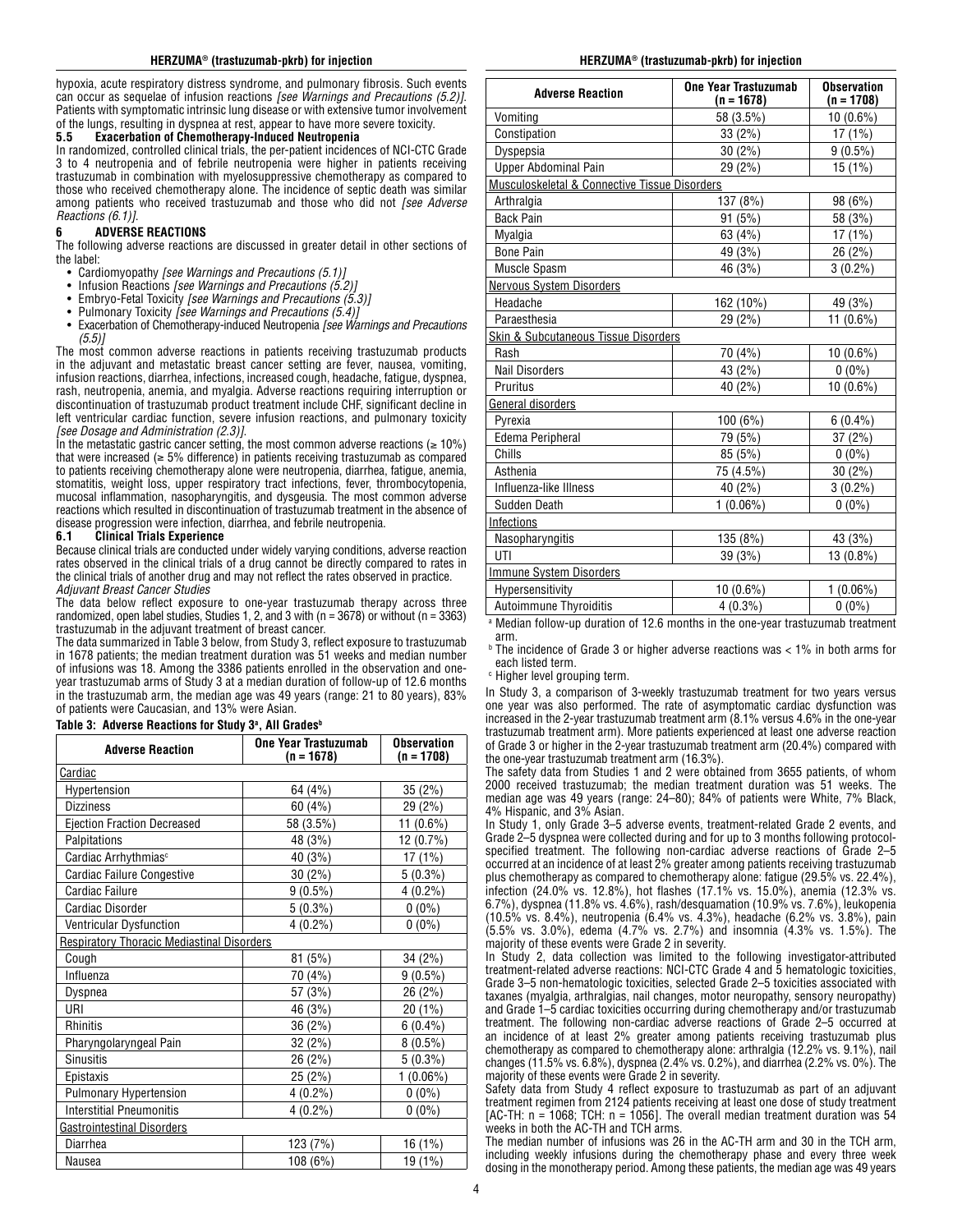#### **HERZUMA® (trastuzumab-pkrb) for injection HERZUMA® (trastuzumab-pkrb) for injection**

hypoxia, acute respiratory distress syndrome, and pulmonary fibrosis. Such events can occur as sequelae of infusion reactions *[see Warnings and Precautions (5.2)]*. Patients with symptomatic intrinsic lung disease or with extensive tumor involvement of the lungs, resulting in dyspnea at rest, appear to have more severe toxicity.<br>5.5 Exacerhation of Chemotherany-Induced Neutronenia

# **5.5 Exacerbation of Chemotherapy-Induced Neutropenia**

In randomized, controlled clinical trials, the per-patient incidences of NCI-CTC Grade 3 to 4 neutropenia and of febrile neutropenia were higher in patients receiving trastuzumab in combination with myelosuppressive chemotherapy as compared to those who received chemotherapy alone. The incidence of septic death was similar among patients who received trastuzumab and those who did not *[see Adverse Reactions (6.1)]*.

# **6 ADVERSE REACTIONS**

The following adverse reactions are discussed in greater detail in other sections of the label:

- Cardiomyopathy *[see Warnings and Precautions (5.1)]*
- Infusion Reactions *[see Warnings and Precautions (5.2)]*
- Embryo-Fetal Toxicity *[see Warnings and Precautions (5.3)]*
- Pulmonary Toxicity *[see Warnings and Precautions (5.4)]*
- Exacerbation of Chemotherapy-induced Neutropenia *[see Warnings and Precautions (5.5)]*

The most common adverse reactions in patients receiving trastuzumab products in the adjuvant and metastatic breast cancer setting are fever, nausea, vomiting, infusion reactions, diarrhea, infections, increased cough, headache, fatigue, dyspnea, rash, neutropenia, anemia, and myalgia. Adverse reactions requiring interruption or discontinuation of trastuzumab product treatment include CHF, significant decline in left ventricular cardiac function, severe infusion reactions, and pulmonary toxicity *[see Dosage and Administration (2.3)]*.

In the metastatic gastric cancer setting, the most common adverse reactions (≥ 10%) that were increased (≥ 5% difference) in patients receiving trastuzumab as compared to patients receiving chemotherapy alone were neutropenia, diarrhea, fatigue, anemia, stomatitis, weight loss, upper respiratory tract infections, fever, thrombocytopenia, mucosal inflammation, nasopharyngitis, and dysgeusia. The most common adverse reactions which resulted in discontinuation of trastuzumab treatment in the absence of disease progression were infection, diarrhea, and febrile neutropenia.<br>6.1 Clinical Trials Experience

# **6.1 Clinical Trials Experience**

Because clinical trials are conducted under widely varying conditions, adverse reaction rates observed in the clinical trials of a drug cannot be directly compared to rates in the clinical trials of another drug and may not reflect the rates observed in practice. *Adjuvant Breast Cancer Studies*

The data below reflect exposure to one-year trastuzumab therapy across three randomized, open label studies, Studies 1, 2, and 3 with ( $n = 3678$ ) or without ( $n = 3363$ ) trastuzumab in the adjuvant treatment of breast cancer.

The data summarized in Table 3 below, from Study 3, reflect exposure to trastuzumab in 1678 patients; the median treatment duration was 51 weeks and median number of infusions was 18. Among the 3386 patients enrolled in the observation and oneyear trastuzumab arms of Study 3 at a median duration of follow-up of 12.6 months in the trastuzumab arm, the median age was 49 years (range: 21 to 80 years), 83% of patients were Caucasian, and 13% were Asian.

# Table 3: Adverse Reactions for Study 3<sup>a</sup>, All Grades<sup>b</sup>

| <b>Adverse Reaction</b>                           | One Year Trastuzumab<br>(n = 1678) | <b>Observation</b><br>(n = 1708) |
|---------------------------------------------------|------------------------------------|----------------------------------|
| Cardiac                                           |                                    |                                  |
| Hypertension                                      | 64 (4%)                            | 35(2%)                           |
| <b>Dizziness</b>                                  | 60 (4%)                            | 29 (2%)                          |
| <b>Ejection Fraction Decreased</b>                | 58 (3.5%)                          | 11 (0.6%)                        |
| Palpitations                                      | 48 (3%)                            | 12 (0.7%)                        |
| Cardiac Arrhythmias <sup>c</sup>                  | 40 (3%)                            | 17(1%)                           |
| <b>Cardiac Failure Congestive</b>                 | $30(2\%)$                          | $5(0.3\%)$                       |
| Cardiac Failure                                   | $9(0.5\%)$                         | $4(0.2\%)$                       |
| <b>Cardiac Disorder</b>                           | $5(0.3\%)$                         | $0(0\%)$                         |
| Ventricular Dysfunction                           | $4(0.2\%)$                         | $0(0\%)$                         |
| <b>Respiratory Thoracic Mediastinal Disorders</b> |                                    |                                  |
| Cough                                             | 81(5%)                             | 34 (2%)                          |
| Influenza                                         | 70 (4%)                            | $9(0.5\%)$                       |
| Dyspnea                                           | 57 (3%)                            | 26 (2%)                          |
| URI                                               | 46 (3%)                            | 20(1%)                           |
| <b>Rhinitis</b>                                   | 36(2%)                             | $6(0.4\%)$                       |
| Pharyngolaryngeal Pain                            | 32(2%)                             | $8(0.5\%)$                       |
| <b>Sinusitis</b>                                  | 26 (2%)                            | $5(0.3\%)$                       |
| Epistaxis                                         | 25(2%)                             | $1(0.06\%)$                      |
| <b>Pulmonary Hypertension</b>                     | $4(0.2\%)$                         | $0(0\%)$                         |
| <b>Interstitial Pneumonitis</b>                   | $4(0.2\%)$                         | $0(0\%)$                         |
| Gastrointestinal Disorders                        |                                    |                                  |
| Diarrhea                                          | 123 (7%)                           | 16(1%)                           |
| Nausea                                            | 108 (6%)                           | 19 (1%)                          |

| <b>Adverse Reaction</b>                                                                                                                                                                                                                                                                                  | One Year Trastuzumab<br>$(n = 1678)$ | <b>Observation</b><br>$(n = 1708)$ |
|----------------------------------------------------------------------------------------------------------------------------------------------------------------------------------------------------------------------------------------------------------------------------------------------------------|--------------------------------------|------------------------------------|
| Vomiting                                                                                                                                                                                                                                                                                                 | 58 (3.5%)                            | $10(0.6\%)$                        |
| Constipation                                                                                                                                                                                                                                                                                             | 33(2%)                               | 17(1%)                             |
| Dyspepsia                                                                                                                                                                                                                                                                                                | $30(2\%)$                            | $9(0.5\%)$                         |
| Upper Abdominal Pain                                                                                                                                                                                                                                                                                     | 29 (2%)                              | 15(1%)                             |
| Musculoskeletal & Connective Tissue Disorders                                                                                                                                                                                                                                                            |                                      |                                    |
| Arthralgia                                                                                                                                                                                                                                                                                               | 137 (8%)                             | 98 (6%)                            |
| <b>Back Pain</b>                                                                                                                                                                                                                                                                                         | 91(5%)                               | 58 (3%)                            |
| Myalgia                                                                                                                                                                                                                                                                                                  | 63 (4%)                              | 17 (1%)                            |
| <b>Bone Pain</b>                                                                                                                                                                                                                                                                                         | 49 (3%)                              | 26 (2%)                            |
| <b>Muscle Spasm</b>                                                                                                                                                                                                                                                                                      | 46 (3%)                              | $3(0.2\%)$                         |
| <b>Nervous System Disorders</b>                                                                                                                                                                                                                                                                          |                                      |                                    |
| Headache                                                                                                                                                                                                                                                                                                 | 162 (10%)                            | 49 (3%)                            |
| Paraesthesia                                                                                                                                                                                                                                                                                             | 29 (2%)                              | $11(0.6\%)$                        |
| Skin & Subcutaneous Tissue Disorders                                                                                                                                                                                                                                                                     |                                      |                                    |
| Rash                                                                                                                                                                                                                                                                                                     | 70 (4%)                              | $10(0.6\%)$                        |
| <b>Nail Disorders</b>                                                                                                                                                                                                                                                                                    | 43 (2%)                              | $0(0\%)$                           |
| Pruritus                                                                                                                                                                                                                                                                                                 | 40 (2%)                              | $10(0.6\%)$                        |
| General disorders                                                                                                                                                                                                                                                                                        |                                      |                                    |
| Pyrexia                                                                                                                                                                                                                                                                                                  | 100 (6%)                             | $6(0.4\%)$                         |
| Edema Peripheral                                                                                                                                                                                                                                                                                         | 79 (5%)                              | 37(2%)                             |
| Chills                                                                                                                                                                                                                                                                                                   | 85 (5%)                              | $0(0\%)$                           |
| Asthenia                                                                                                                                                                                                                                                                                                 | 75 (4.5%)                            | 30(2%)                             |
| Influenza-like Illness                                                                                                                                                                                                                                                                                   | 40 (2%)                              | $3(0.2\%)$                         |
| Sudden Death                                                                                                                                                                                                                                                                                             | $1(0.06\%)$                          | $0(0\%)$                           |
| Infections                                                                                                                                                                                                                                                                                               |                                      |                                    |
| Nasopharyngitis                                                                                                                                                                                                                                                                                          | 135 (8%)                             | 43 (3%)                            |
| UTI                                                                                                                                                                                                                                                                                                      | 39 (3%)                              | 13 (0.8%)                          |
| <b>Immune System Disorders</b>                                                                                                                                                                                                                                                                           |                                      |                                    |
| Hypersensitivity                                                                                                                                                                                                                                                                                         | $10(0.6\%)$                          | $1(0.06\%)$                        |
| Autoimmune Thyroiditis<br>$\sim$ 0.0 $\sim$ 0.1 $\sim$ 0.1 $\sim$ 0.1 $\sim$ 0.1 $\sim$ 0.1 $\sim$ 0.1 $\sim$ 0.1 $\sim$ 0.1 $\sim$ 0.1 $\sim$ 0.1 $\sim$ 0.1 $\sim$ 0.1 $\sim$ 0.1 $\sim$ 0.1 $\sim$ 0.1 $\sim$ 0.1 $\sim$ 0.1 $\sim$ 0.1 $\sim$ 0.1 $\sim$ 0.1 $\sim$ 0.1 $\sim$ 0.1 $\sim$ 0.1 $\sim$ | $4(0.3\%)$<br>and the state of the   | $0(0\%)$                           |

 $^{\text{\tiny{\textup{a}}} }$  Median follow-up duration of 12.6 months in the one-vear trastuzumab treatment arm.

 $b$  The incidence of Grade 3 or higher adverse reactions was  $<$  1% in both arms for each listed term.

<sup>c</sup> Higher level grouping term.

In Study 3, a comparison of 3-weekly trastuzumab treatment for two years versus one year was also performed. The rate of asymptomatic cardiac dysfunction was increased in the 2-year trastuzumab treatment arm (8.1% versus 4.6% in the one-year trastuzumab treatment arm). More patients experienced at least one adverse reaction of Grade 3 or higher in the 2-year trastuzumab treatment arm (20.4%) compared with the one-year trastuzumab treatment arm (16.3%).

The safety data from Studies 1 and 2 were obtained from 3655 patients, of whom 2000 received trastuzumab; the median treatment duration was 51 weeks. The median age was 49 years (range: 24–80); 84% of patients were White, 7% Black, 4% Hispanic, and 3% Asian.

In Study 1, only Grade 3–5 adverse events, treatment-related Grade 2 events, and Grade 2–5 dyspnea were collected during and for up to 3 months following protocolspecified treatment. The following non-cardiac adverse reactions of Grade 2–5 occurred at an incidence of at least 2% greater among patients receiving trastuzumab plus chemotherapy as compared to chemotherapy alone: fatigue (29.5% vs. 22.4%), infection (24.0% vs. 12.8%), hot flashes (17.1% vs. 15.0%), anemia (12.3% vs. 6.7%), dyspnea (11.8% vs. 4.6%), rash/desquamation (10.9% vs. 7.6%), leukopenia (10.5% vs. 8.4%), neutropenia (6.4% vs. 4.3%), headache (6.2% vs. 3.8%), pain (5.5% vs. 3.0%), edema (4.7% vs. 2.7%) and insomnia (4.3% vs. 1.5%). The majority of these events were Grade 2 in severity.

In Study 2, data collection was limited to the following investigator-attributed treatment-related adverse reactions: NCI-CTC Grade 4 and 5 hematologic toxicities, Grade 3–5 non-hematologic toxicities, selected Grade 2–5 toxicities associated with taxanes (myalgia, arthralgias, nail changes, motor neuropathy, sensory neuropathy) and Grade 1–5 cardiac toxicities occurring during chemotherapy and/or trastuzumab treatment. The following non-cardiac adverse reactions of Grade 2–5 occurred at an incidence of at least 2% greater among patients receiving trastuzumab plus chemotherapy as compared to chemotherapy alone: arthralgia (12.2% vs. 9.1%), nail changes (11.5% vs. 6.8%), dyspnea (2.4% vs. 0.2%), and diarrhea (2.2% vs. 0%). The majority of these events were Grade 2 in severity.

Safety data from Study 4 reflect exposure to trastuzumab as part of an adjuvant treatment regimen from 2124 patients receiving at least one dose of study treatment  $[AC-TH: n = 1068; TCH: n = 1056]$ . The overall median treatment duration was 54 weeks in both the AC-TH and TCH arms.

The median number of infusions was 26 in the AC-TH arm and 30 in the TCH arm, including weekly infusions during the chemotherapy phase and every three week dosing in the monotherapy period. Among these patients, the median age was 49 years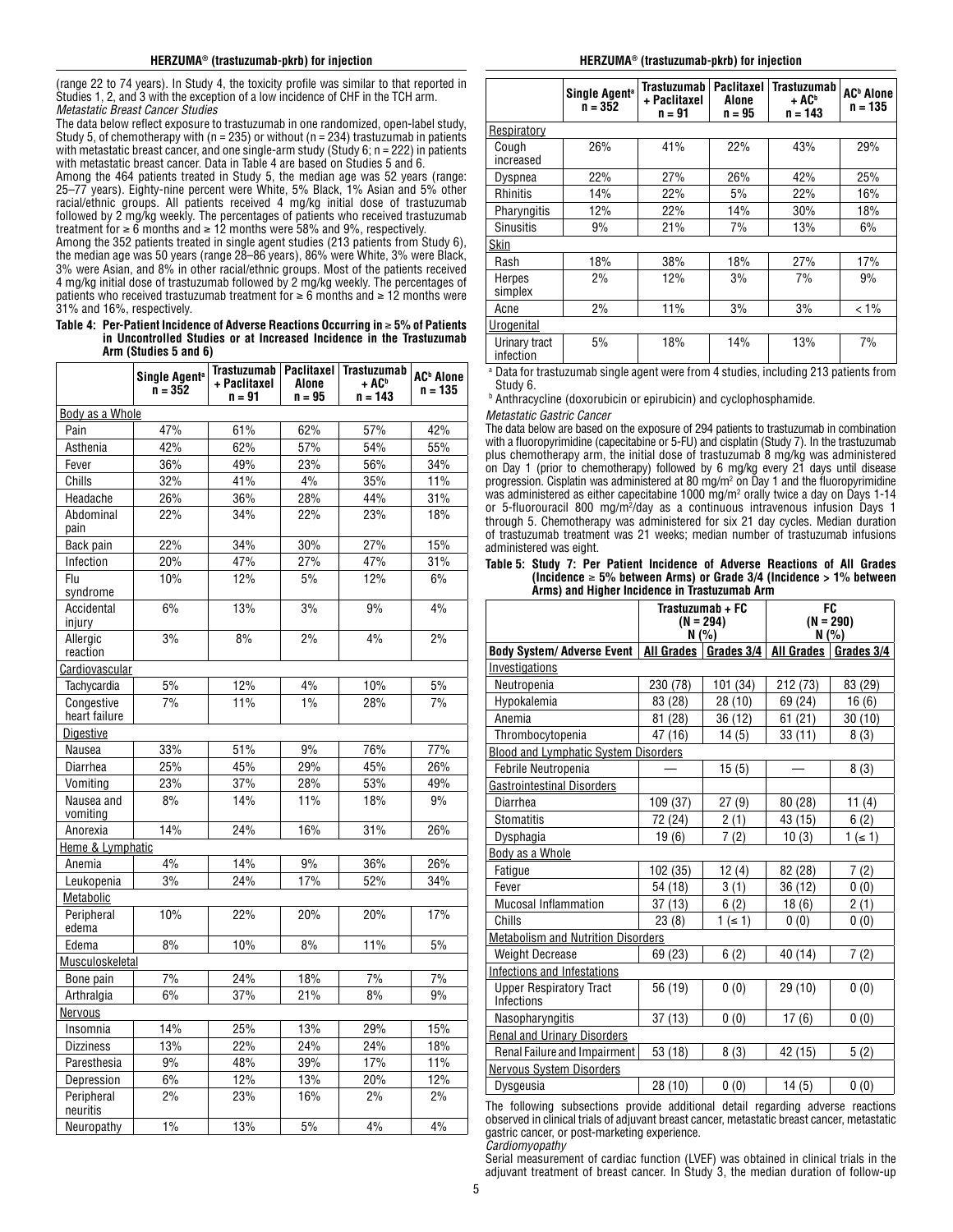(range 22 to 74 years). In Study 4, the toxicity profile was similar to that reported in Studies 1, 2, and 3 with the exception of a low incidence of CHF in the TCH arm. *Metastatic Breast Cancer Studies*

The data below reflect exposure to trastuzumab in one randomized, open-label study, Study 5, of chemotherapy with ( $n = 235$ ) or without ( $n = 234$ ) trastuzumab in patients with metastatic breast cancer, and one single-arm study (Study 6; n = 222) in patients with metastatic breast cancer. Data in Table 4 are based on Studies 5 and 6.

Among the 464 patients treated in Study 5, the median age was 52 years (range: 25–77 years). Eighty-nine percent were White, 5% Black, 1% Asian and 5% other racial/ethnic groups. All patients received 4 mg/kg initial dose of trastuzumab followed by 2 mg/kg weekly. The percentages of patients who received trastuzumab treatment for  $\geq 6$  months and  $\geq 12$  months were 58% and 9%, respectively.

Among the 352 patients treated in single agent studies (213 patients from Study 6), the median age was 50 years (range 28–86 years), 86% were White, 3% were Black, 3% were Asian, and 8% in other racial/ethnic groups. Most of the patients received 4 mg/kg initial dose of trastuzumab followed by 2 mg/kg weekly. The percentages of patients who received trastuzumab treatment for  $≥$  6 months and  $≥$  12 months were 31% and 16%, respectively.

**Table 4: Per-Patient Incidence of Adverse Reactions Occurring in** ≥ **5% of Patients in Uncontrolled Studies or at Increased Incidence in the Trastuzumab Arm (Studies 5 and 6)**

|                             | Single Agent <sup>a</sup><br>$n = 352$ | <b>Trastuzumab</b><br>+ Paclitaxel<br>$n = 91$ | Paclitaxel<br>Alone<br>n = 95 | <b>Trastuzumab</b><br>+ ACʰ<br>n = 143 | <b>AC</b> <sup>b</sup> Alone<br>n = 135 |
|-----------------------------|----------------------------------------|------------------------------------------------|-------------------------------|----------------------------------------|-----------------------------------------|
| Body as a Whole             |                                        |                                                |                               |                                        |                                         |
| Pain                        | 47%                                    | 61%                                            | 62%                           | 57%                                    | 42%                                     |
| Asthenia                    | 42%                                    | 62%                                            | 57%                           | 54%                                    | 55%                                     |
| Fever                       | 36%                                    | 49%                                            | 23%                           | 56%                                    | 34%                                     |
| Chills                      | 32%                                    | 41%                                            | 4%                            | 35%                                    | 11%                                     |
| Headache                    | 26%                                    | 36%                                            | 28%                           | 44%                                    | 31%                                     |
| Abdominal<br>pain           | 22%                                    | 34%                                            | 22%                           | 23%                                    | 18%                                     |
| Back pain                   | 22%                                    | 34%                                            | 30%                           | 27%                                    | 15%                                     |
| Infection                   | 20%                                    | 47%                                            | 27%                           | 47%                                    | 31%                                     |
| Flu.<br>syndrome            | 10%                                    | 12%                                            | 5%                            | 12%                                    | 6%                                      |
| Accidental<br>injury        | 6%                                     | 13%                                            | 3%                            | 9%                                     | 4%                                      |
| Allergic<br>reaction        | 3%                                     | 8%                                             | 2%                            | 4%                                     | 2%                                      |
| Cardiovascular              |                                        |                                                |                               |                                        |                                         |
| Tachycardia                 | 5%                                     | 12%                                            | 4%                            | 10%                                    | 5%                                      |
| Congestive<br>heart failure | 7%                                     | 11%                                            | 1%                            | 28%                                    | 7%                                      |
| <b>Digestive</b>            |                                        |                                                |                               |                                        |                                         |
| Nausea                      | 33%                                    | 51%                                            | 9%                            | 76%                                    | 77%                                     |
| Diarrhea                    | 25%                                    | 45%                                            | 29%                           | 45%                                    | 26%                                     |
| Vomitina                    | 23%                                    | 37%                                            | 28%                           | 53%                                    | 49%                                     |
| Nausea and<br>vomiting      | 8%                                     | 14%                                            | 11%                           | 18%                                    | 9%                                      |
| Anorexia                    | 14%                                    | 24%                                            | 16%                           | 31%                                    | 26%                                     |
| Heme & Lymphatic            |                                        |                                                |                               |                                        |                                         |
| Anemia                      | 4%                                     | 14%                                            | 9%                            | 36%                                    | 26%                                     |
| Leukopenia                  | 3%                                     | 24%                                            | 17%                           | 52%                                    | 34%                                     |
| Metabolic                   |                                        |                                                |                               |                                        |                                         |
| Peripheral<br>edema         | 10%                                    | 22%                                            | 20%                           | 20%                                    | 17%                                     |
| Edema                       | 8%                                     | 10%                                            | 8%                            | 11%                                    | 5%                                      |
| Musculoskeletal             |                                        |                                                |                               |                                        |                                         |
| Bone pain                   | 7%                                     | 24%                                            | 18%                           | 7%                                     | 7%                                      |
| Arthralgia                  | 6%                                     | 37%                                            | 21%                           | 8%                                     | 9%                                      |
| Nervous                     |                                        |                                                |                               |                                        |                                         |
| Insomnia                    | 14%                                    | 25%                                            | 13%                           | 29%                                    | 15%                                     |
| <b>Dizziness</b>            | 13%                                    | 22%                                            | 24%                           | 24%                                    | 18%                                     |
| Paresthesia                 | 9%                                     | 48%                                            | 39%                           | 17%                                    | 11%                                     |
| Depression                  | 6%                                     | 12%                                            | 13%                           | 20%                                    | 12%                                     |
| Peripheral<br>neuritis      | 2%                                     | 23%                                            | 16%                           | 2%                                     | 2%                                      |
| Neuropathy                  | $1\%$                                  | 13%                                            | 5%                            | 4%                                     | 4%                                      |

#### **HERZUMA® (trastuzumab-pkrb) for injection HERZUMA® (trastuzumab-pkrb) for injection**

|                            | Single Agent <sup>a</sup><br>$n = 352$ | Trastuzumab<br>+ Paclitaxel<br>$n = 91$ | <b>Paclitaxel</b><br>Alone<br>n = 95 | <b>Trastuzumab</b><br>+ AC <sup>b</sup><br>$n = 143$ | <b>AC<sup>b</sup></b> Alone<br>$n = 135$ |  |  |  |  |
|----------------------------|----------------------------------------|-----------------------------------------|--------------------------------------|------------------------------------------------------|------------------------------------------|--|--|--|--|
| Respiratory                |                                        |                                         |                                      |                                                      |                                          |  |  |  |  |
| Cough<br>increased         | 26%                                    | 41%                                     | 22%                                  | 43%                                                  | 29%                                      |  |  |  |  |
| Dyspnea                    | 22%                                    | 27%                                     | 26%                                  | 42%                                                  | 25%                                      |  |  |  |  |
| <b>Rhinitis</b>            | 14%                                    | 22%                                     | 5%                                   | 22%                                                  | 16%                                      |  |  |  |  |
| Pharyngitis                | 12%                                    | 22%                                     | 14%                                  | 30%                                                  | 18%                                      |  |  |  |  |
| <b>Sinusitis</b>           | 9%                                     | 21%                                     | 7%                                   | 13%                                                  | 6%                                       |  |  |  |  |
| Skin                       |                                        |                                         |                                      |                                                      |                                          |  |  |  |  |
| Rash                       | 18%                                    | 38%                                     | 18%                                  | 27%                                                  | 17%                                      |  |  |  |  |
| Herpes<br>simplex          | 2%                                     | 12%                                     | 3%                                   | 7%                                                   | 9%                                       |  |  |  |  |
| Acne                       | 2%                                     | 11%                                     | 3%                                   | 3%                                                   | $< 1\%$                                  |  |  |  |  |
| Urogenital                 |                                        |                                         |                                      |                                                      |                                          |  |  |  |  |
| Urinary tract<br>infection | 5%                                     | 18%                                     | 14%                                  | 13%                                                  | 7%                                       |  |  |  |  |

<sup>a</sup> Data for trastuzumab single agent were from 4 studies, including 213 patients from Study 6.

<sup>b</sup> Anthracycline (doxorubicin or epirubicin) and cyclophosphamide.

*Metastatic Gastric Cancer*

The data below are based on the exposure of 294 patients to trastuzumab in combination with a fluoropyrimidine (capecitabine or 5-FU) and cisplatin (Study 7). In the trastuzumab plus chemotherapy arm, the initial dose of trastuzumab 8 mg/kg was administered on Day 1 (prior to chemotherapy) followed by 6 mg/kg every 21 days until disease progression. Cisplatin was administered at 80 mg/m<sup>2</sup> on Day 1 and the fluoropyrimidine was administered as either capecitabine 1000 mg/ $m^2$  orally twice a day on Days 1-14 or 5-fluorouracil 800 mg/m2 /day as a continuous intravenous infusion Days 1 through 5. Chemotherapy was administered for six 21 day cycles. Median duration of trastuzumab treatment was 21 weeks; median number of trastuzumab infusions administered was eight.

#### **Table 5: Study 7: Per Patient Incidence of Adverse Reactions of All Grades (Incidence** ≥ **5% between Arms) or Grade 3/4 (Incidence > 1% between Arms) and Higher Incidence in Trastuzumab Arm**

|                                              |                   | лтны, ана тнуны топаснос нг тазшеатар лтн |                          |            |  |  |  |  |  |
|----------------------------------------------|-------------------|-------------------------------------------|--------------------------|------------|--|--|--|--|--|
|                                              |                   | Trastuzumab + FC<br>$(N = 294)$<br>N(%    | FC<br>$(N = 290)$<br>N(% |            |  |  |  |  |  |
| <b>Body System/Adverse Event</b>             | <b>All Grades</b> |                                           | Grades 3/4   All Grades  | Grades 3/4 |  |  |  |  |  |
| Investigations                               |                   |                                           |                          |            |  |  |  |  |  |
| Neutropenia                                  | 230 (78)          | 101 (34)                                  | 212 (73)                 | 83 (29)    |  |  |  |  |  |
| Hypokalemia                                  | 83 (28)           | 28(10)                                    | 69 (24)                  | 16(6)      |  |  |  |  |  |
| Anemia                                       | 81 (28)           | 36(12)                                    | 61(21)                   | 30(10)     |  |  |  |  |  |
| Thrombocytopenia                             | 47 (16)           | 14(5)                                     | 33(11)                   | 8(3)       |  |  |  |  |  |
| <b>Blood and Lymphatic System Disorders</b>  |                   |                                           |                          |            |  |  |  |  |  |
| Febrile Neutropenia                          |                   | 15(5)                                     |                          | 8(3)       |  |  |  |  |  |
| <b>Gastrointestinal Disorders</b>            |                   |                                           |                          |            |  |  |  |  |  |
| Diarrhea                                     | 109 (37)          | 27(9)                                     | 80(28)                   | 11 $(4)$   |  |  |  |  |  |
| <b>Stomatitis</b>                            | 72 (24)           | 2(1)                                      | 43 (15)                  | 6(2)       |  |  |  |  |  |
| Dysphagia                                    | 19(6)             | 7(2)                                      | 10(3)                    | 1 (≤ 1)    |  |  |  |  |  |
| Body as a Whole                              |                   |                                           |                          |            |  |  |  |  |  |
| Fatigue                                      | 102 (35)          | 12(4)                                     | 82 (28)                  | 7(2)       |  |  |  |  |  |
| Fever                                        | 54 (18)           | 3(1)                                      | 36 (12)                  | 0(0)       |  |  |  |  |  |
| <b>Mucosal Inflammation</b>                  | 37(13)            | 6(2)                                      | 18(6)                    | 2(1)       |  |  |  |  |  |
| Chills                                       | 23(8)             | 1 (≤ 1)                                   | 0(0)                     | 0(0)       |  |  |  |  |  |
| <b>Metabolism and Nutrition Disorders</b>    |                   |                                           |                          |            |  |  |  |  |  |
| <b>Weight Decrease</b>                       | 69 (23)           | 6(2)                                      | 40 (14)                  | 7(2)       |  |  |  |  |  |
| <b>Infections and Infestations</b>           |                   |                                           |                          |            |  |  |  |  |  |
| <b>Upper Respiratory Tract</b><br>Infections | 56 (19)           | 0(0)                                      | 29(10)                   | 0(0)       |  |  |  |  |  |
| Nasopharyngitis                              | 37(13)            | 0(0)                                      | 17(6)                    | 0(0)       |  |  |  |  |  |
| <b>Renal and Urinary Disorders</b>           |                   |                                           |                          |            |  |  |  |  |  |
| Renal Failure and Impairment                 | 53 (18)           | 8(3)                                      | 42 (15)                  | 5(2)       |  |  |  |  |  |
| <b>Nervous System Disorders</b>              |                   |                                           |                          |            |  |  |  |  |  |
| Dysgeusia                                    | 28 (10)           | 0(0)                                      | 14(5)                    | 0(0)       |  |  |  |  |  |

The following subsections provide additional detail regarding adverse reactions observed in clinical trials of adjuvant breast cancer, metastatic breast cancer, metastatic gastric cancer, or post-marketing experience. *Cardiomyopathy*

Serial measurement of cardiac function (LVEF) was obtained in clinical trials in the adjuvant treatment of breast cancer. In Study 3, the median duration of follow-up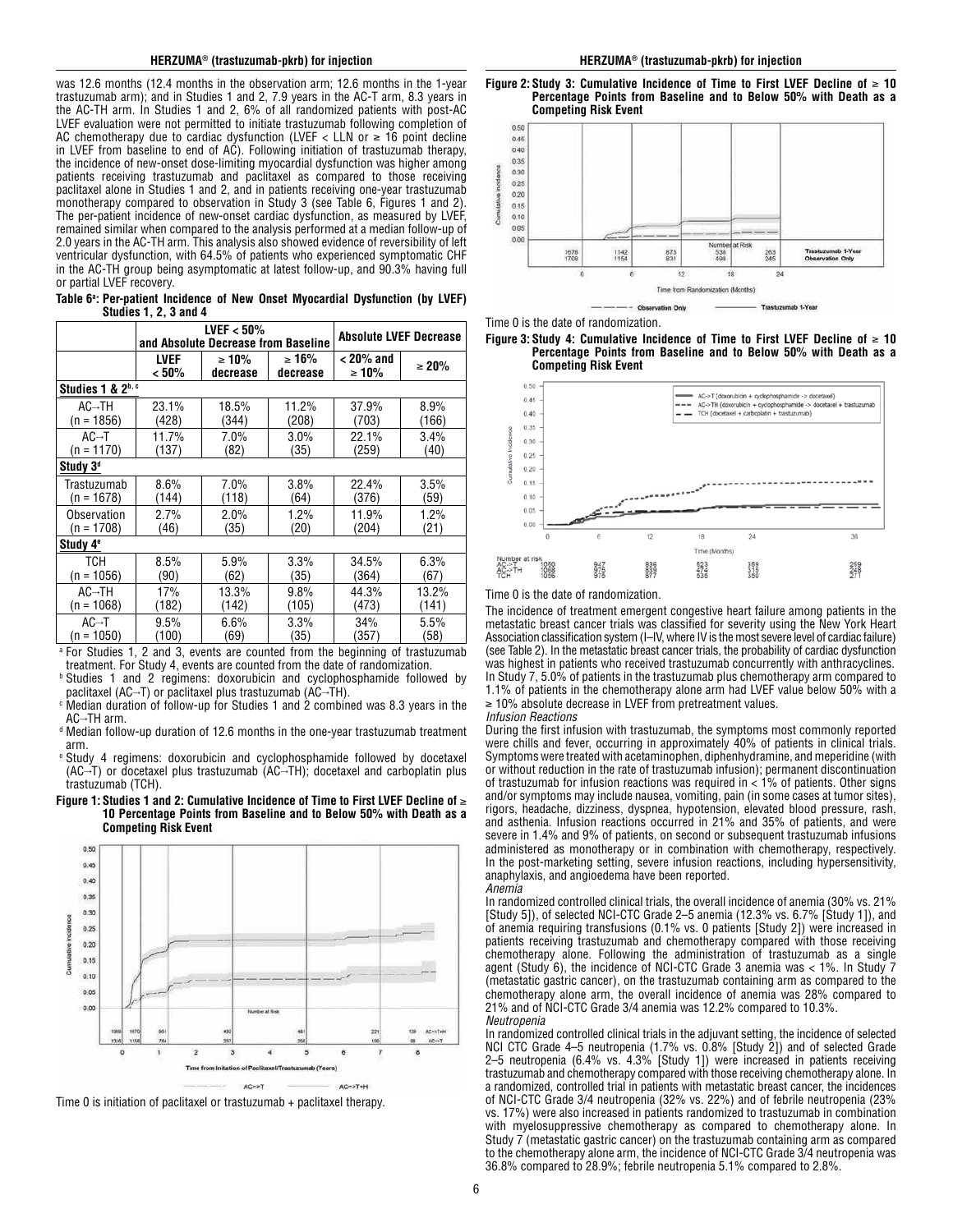#### **HERZUMA® (trastuzumab-pkrb) for injection HERZUMA® (trastuzumab-pkrb) for injection**

was 12.6 months (12.4 months in the observation arm; 12.6 months in the 1-year trastuzumab arm); and in Studies 1 and 2, 7.9 years in the AC-T arm, 8.3 years in the AC-TH arm. In Studies 1 and 2, 6% of all randomized patients with post-AC LVEF evaluation were not permitted to initiate trastuzumab following completion of AC chemotherapy due to cardiac dysfunction (LVEF < LLN or  $\geq$  16 point decline in LVEF from baseline to end of AC). Following initiation of trastuzumab therapy, the incidence of new-onset dose-limiting myocardial dysfunction was higher among patients receiving trastuzumab and paclitaxel as compared to those receiving paclitaxel alone in Studies 1 and 2, and in patients receiving one-year trastuzumab monotherapy compared to observation in Study 3 (see Table 6, Figures 1 and 2). The per-patient incidence of new-onset cardiac dysfunction, as measured by LVEF, remained similar when compared to the analysis performed at a median follow-up of 2.0 years in the AC-TH arm. This analysis also showed evidence of reversibility of left ventricular dysfunction, with 64.5% of patients who experienced symptomatic CHF in the AC-TH group being asymptomatic at latest follow-up, and 90.3% having full or partial LVEF recovery.

Table 6<sup>a</sup>: Per-patient Incidence of New Onset Myocardial Dysfunction (by LVEF) **Studies 1, 2, 3 and 4**

|                      |                         | LVEF $< 50\%$<br>and Absolute Decrease from Baseline | <b>Absolute LVEF Decrease</b> |                             |             |
|----------------------|-------------------------|------------------------------------------------------|-------------------------------|-----------------------------|-------------|
|                      | <b>LVEF</b><br>$< 50\%$ | $\geq 10\%$<br>decrease                              | $\geq 16\%$<br>decrease       | $< 20\%$ and<br>$\geq 10\%$ | $\geq 20\%$ |
| Studies 1 & 2h, c    |                         |                                                      |                               |                             |             |
| $AC \rightarrow TH$  | 23.1%                   | 18.5%                                                | 11.2%                         | 37.9%                       | 8.9%        |
| $(n = 1856)$         | (428)                   | (344)                                                | (208)                         | (703)                       | (166)       |
| $AC \rightarrow T$   | 11.7%                   | $7.0\%$                                              | 3.0%                          | 22.1%                       | 3.4%        |
| $(n = 1170)$         | (137)                   | (82)                                                 | (35)                          | (259)                       | (40)        |
| Study 3 <sup>d</sup> |                         |                                                      |                               |                             |             |
| Trastuzumab          | 8.6%                    | 7.0%                                                 | 3.8%                          | 22.4%                       | 3.5%        |
| $(n = 1678)$         | (144)                   | (118)                                                | (64)                          | (376)                       | (59)        |
| Observation          | 2.7%                    | 2.0%                                                 | 1.2%                          | 11.9%                       | 1.2%        |
| (n = 1708)           | (46)                    | (35)                                                 | (20)                          | (204)                       | (21)        |
| Study 4 <sup>e</sup> |                         |                                                      |                               |                             |             |
| <b>TCH</b>           | 8.5%                    | 5.9%                                                 | 3.3%                          | 34.5%                       | 6.3%        |
| $(n = 1056)$         | (90)                    | (62)                                                 | (35)                          | (364)                       | (67)        |
| $AC \rightarrow TH$  | 17%                     | 13.3%                                                | 9.8%                          | 44.3%                       | 13.2%       |
| (n = 1068)           | (182)                   | (142)                                                | (105)                         | (473)                       | (141)       |
| $AC \rightarrow T$   | 9.5%                    | 6.6%                                                 | 3.3%                          | 34%                         | 5.5%        |
| $(n = 1050)$         | (100)                   | (69)                                                 | (35)                          | (357)                       | (58)        |

<sup>a</sup> For Studies 1, 2 and 3, events are counted from the beginning of trastuzumab treatment. For Study 4, events are counted from the date of randomization.

**b Studies 1 and 2 regimens: doxorubicin and cyclophosphamide followed by** paclitaxel (AC→T) or paclitaxel plus trastuzumab (AC→TH).

<sup>c</sup> Median duration of follow-up for Studies 1 and 2 combined was 8.3 years in the AC→TH arm.

<sup>d</sup> Median follow-up duration of 12.6 months in the one-year trastuzumab treatment arm.

<sup>e</sup> Study 4 regimens: doxorubicin and cyclophosphamide followed by docetaxel (AC→T) or docetaxel plus trastuzumab (AC→TH); docetaxel and carboplatin plus trastuzumab (TCH).

**Figure 1: Studies 1 and 2: Cumulative Incidence of Time to First LVEF Decline of** ≥ **10 Percentage Points from Baseline and to Below 50% with Death as a Competing Risk Event**



Time 0 is initiation of paclitaxel or trastuzumab + paclitaxel therapy.





Time 0 is the date of randomization.





Time 0 is the date of randomization.

1.1% of patients in the chemotherapy alone arm had LVEF value below 50% with a The incidence of treatment emergent congestive heart failure among patients in the metastatic breast cancer trials was classified for severity using the New York Heart Association classification system (I–IV, where IV is the most severe level of cardiac failure) (see Table 2). In the metastatic breast cancer trials, the probability of cardiac dysfunction was highest in patients who received trastuzumab concurrently with anthracyclines. In Study 7, 5.0% of patients in the trastuzumab plus chemotherapy arm compared to ≥ 10% absolute decrease in LVEF from pretreatment values.

*Infusion Reactions*

During the first infusion with trastuzumab, the symptoms most commonly reported were chills and fever, occurring in approximately 40% of patients in clinical trials. Symptoms were treated with acetaminophen, diphenhydramine, and meperidine (with or without reduction in the rate of trastuzumab infusion); permanent discontinuation of trastuzumab for infusion reactions was required in  $<$  1% of patients. Other signs and/or symptoms may include nausea, vomiting, pain (in some cases at tumor sites), rigors, headache, dizziness, dyspnea, hypotension, elevated blood pressure, rash, and asthenia. Infusion reactions occurred in 21% and 35% of patients, and were severe in 1.4% and 9% of patients, on second or subsequent trastuzumab infusions administered as monotherapy or in combination with chemotherapy, respectively. In the post-marketing setting, severe infusion reactions, including hypersensitivity, anaphylaxis, and angioedema have been reported. *Anemia*

In randomized controlled clinical trials, the overall incidence of anemia (30% vs. 21% [Study 5]), of selected NCI-CTC Grade 2-5 anemia (12.3% vs. 6.7% [Study 1]), and of anemia requiring transfusions (0.1% vs. 0 patients [Study 2]) were increased in patients receiving trastuzumab and chemotherapy compared with those receiving chemotherapy alone. Following the administration of trastuzumab as a single agent (Study 6), the incidence of NCI-CTC Grade 3 anemia was < 1%. In Study 7 (metastatic gastric cancer), on the trastuzumab containing arm as compared to the chemotherapy alone arm, the overall incidence of anemia was 28% compared to 21% and of NCI-CTC Grade 3/4 anemia was 12.2% compared to 10.3%. *Neutropenia*

In randomized controlled clinical trials in the adjuvant setting, the incidence of selected NCI CTC Grade 4–5 neutropenia (1.7% vs. 0.8% [Study 2]) and of selected Grade 2–5 neutropenia (6.4% vs. 4.3% [Study 1]) were increased in patients receiving trastuzumab and chemotherapy compared with those receiving chemotherapy alone. In a randomized, controlled trial in patients with metastatic breast cancer, the incidences of NCI-CTC Grade 3/4 neutropenia (32% vs. 22%) and of febrile neutropenia (23% vs. 17%) were also increased in patients randomized to trastuzumab in combination with myelosuppressive chemotherapy as compared to chemotherapy alone. In Study 7 (metastatic gastric cancer) on the trastuzumab containing arm as compared to the chemotherapy alone arm, the incidence of NCI-CTC Grade 3/4 neutropenia was 36.8% compared to 28.9%; febrile neutropenia 5.1% compared to 2.8%.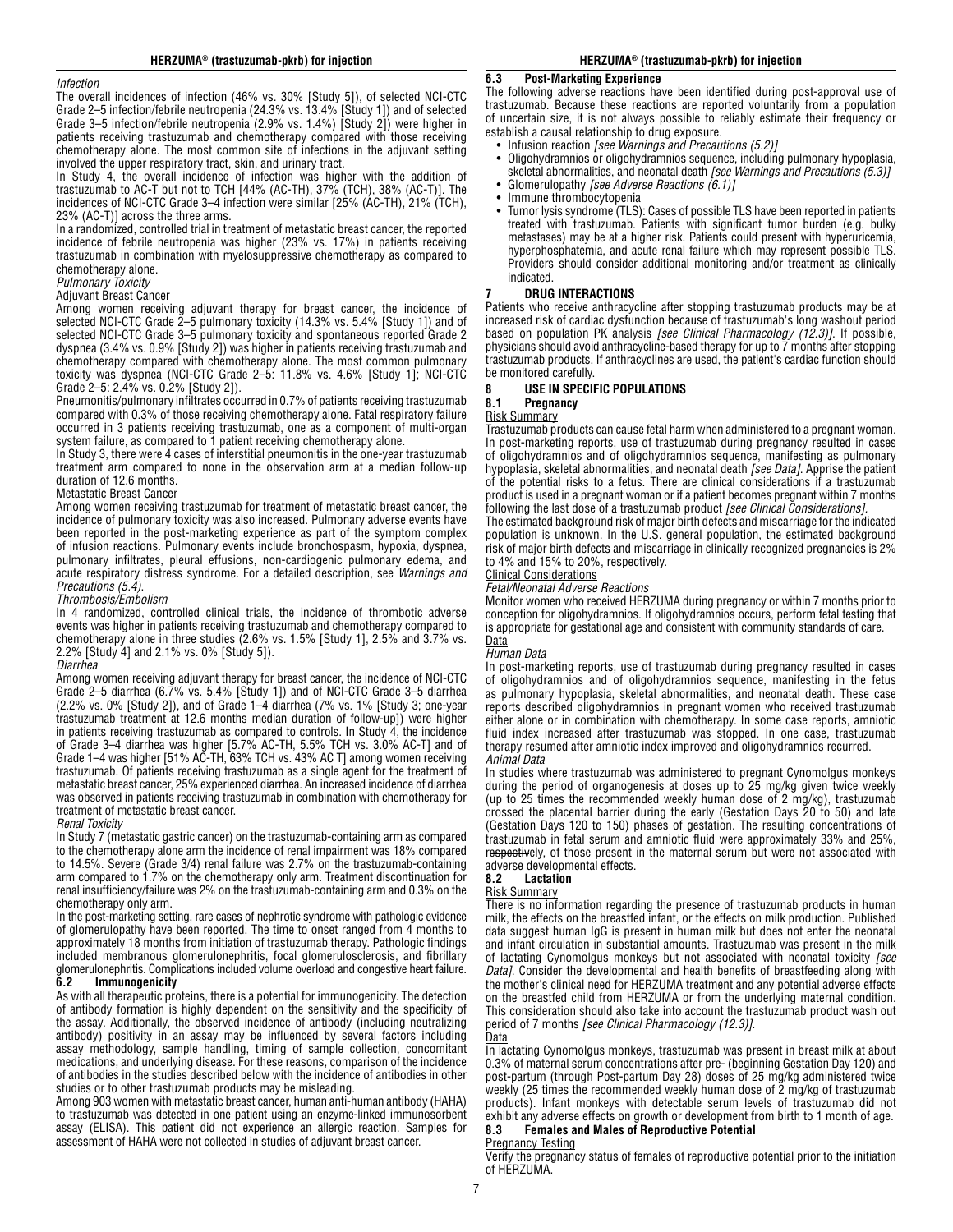#### *Infection*

The overall incidences of infection (46% vs. 30% [Study 5]), of selected NCI-CTC Grade 2–5 infection/febrile neutropenia (24.3% vs. 13.4% [Study 1]) and of selected Grade 3–5 infection/febrile neutropenia (2.9% vs. 1.4%) [Study 2]) were higher in patients receiving trastuzumab and chemotherapy compared with those receiving chemotherapy alone. The most common site of infections in the adjuvant setting involved the upper respiratory tract, skin, and urinary tract.

In Study 4, the overall incidence of infection was higher with the addition of trastuzumab to AC-T but not to TCH [44% (AC-TH), 37% (TCH), 38% (AC-T)]. The incidences of NCI-CTC Grade 3–4 infection were similar [25% (AC-TH), 21% (TCH), 23% (AC-T)] across the three arms.

In a randomized, controlled trial in treatment of metastatic breast cancer, the reported incidence of febrile neutropenia was higher (23% vs. 17%) in patients receiving trastuzumab in combination with myelosuppressive chemotherapy as compared to chemotherapy alone.

*Pulmonary Toxicity*

#### Adjuvant Breast Cancer

Among women receiving adjuvant therapy for breast cancer, the incidence of selected NCI-CTC Grade 2–5 pulmonary toxicity (14.3% vs. 5.4% [Study 1]) and of selected NCI-CTC Grade 3–5 pulmonary toxicity and spontaneous reported Grade 2 dyspnea (3.4% vs. 0.9% [Study 2]) was higher in patients receiving trastuzumab and chemotherapy compared with chemotherapy alone. The most common pulmonary toxicity was dyspnea (NCI-CTC Grade 2–5: 11.8% vs. 4.6% [Study 1]; NCI-CTC Grade 2–5: 2.4% vs. 0.2% [Study 2]).

Pneumonitis/pulmonary infiltrates occurred in 0.7% of patients receiving trastuzumab compared with 0.3% of those receiving chemotherapy alone. Fatal respiratory failure occurred in 3 patients receiving trastuzumab, one as a component of multi-organ system failure, as compared to 1 patient receiving chemotherapy alone.

In Study 3, there were 4 cases of interstitial pneumonitis in the one-year trastuzumab treatment arm compared to none in the observation arm at a median follow-up duration of 12.6 months.

#### Metastatic Breast Cancer

Among women receiving trastuzumab for treatment of metastatic breast cancer, the incidence of pulmonary toxicity was also increased. Pulmonary adverse events have been reported in the post-marketing experience as part of the symptom complex of infusion reactions. Pulmonary events include bronchospasm, hypoxia, dyspnea, pulmonary infiltrates, pleural effusions, non-cardiogenic pulmonary edema, and acute respiratory distress syndrome. For a detailed description, see *Warnings and Precautions (5.4)*.

#### *Thrombosis/Embolism*

In 4 randomized, controlled clinical trials, the incidence of thrombotic adverse events was higher in patients receiving trastuzumab and chemotherapy compared to chemotherapy alone in three studies (2.6% vs. 1.5% [Study 1], 2.5% and 3.7% vs. 2.2% [Study 4] and 2.1% vs. 0% [Study 5]).

#### *Diarrhea*

Among women receiving adjuvant therapy for breast cancer, the incidence of NCI-CTC Grade 2–5 diarrhea (6.7% vs. 5.4% [Study 1]) and of NCI-CTC Grade 3–5 diarrhea (2.2% vs. 0% [Study 2]), and of Grade 1–4 diarrhea (7% vs. 1% [Study 3; one-year trastuzumab treatment at 12.6 months median duration of follow-up]) were higher in patients receiving trastuzumab as compared to controls. In Study 4, the incidence of Grade 3–4 diarrhea was higher [5.7% AC-TH, 5.5% TCH vs. 3.0% AC-T] and of Grade 1–4 was higher [51% AC-TH, 63% TCH vs. 43% AC T] among women receiving trastuzumab. Of patients receiving trastuzumab as a single agent for the treatment of metastatic breast cancer, 25% experienced diarrhea. An increased incidence of diarrhea was observed in patients receiving trastuzumab in combination with chemotherapy for treatment of metastatic breast cancer.

#### *Renal Toxicity*

In Study 7 (metastatic gastric cancer) on the trastuzumab-containing arm as compared to the chemotherapy alone arm the incidence of renal impairment was 18% compared to 14.5%. Severe (Grade 3/4) renal failure was 2.7% on the trastuzumab-containing arm compared to 1.7% on the chemotherapy only arm. Treatment discontinuation for renal insufficiency/failure was 2% on the trastuzumab-containing arm and 0.3% on the chemotherapy only arm.

In the post-marketing setting, rare cases of nephrotic syndrome with pathologic evidence of glomerulopathy have been reported. The time to onset ranged from 4 months to approximately 18 months from initiation of trastuzumab therapy. Pathologic findings included membranous glomerulonephritis, focal glomerulosclerosis, and fibrillary glomerulonephritis. Complications included volume overload and congestive heart failure.<br>6.2 **Immunogenicity 6.2 Immunogenicity**

As with all therapeutic proteins, there is a potential for immunogenicity. The detection of antibody formation is highly dependent on the sensitivity and the specificity of the assay. Additionally, the observed incidence of antibody (including neutralizing antibody) positivity in an assay may be influenced by several factors including assay methodology, sample handling, timing of sample collection, concomitant medications, and underlying disease. For these reasons, comparison of the incidence of antibodies in the studies described below with the incidence of antibodies in other studies or to other trastuzumab products may be misleading.

Among 903 women with metastatic breast cancer, human anti-human antibody (HAHA) to trastuzumab was detected in one patient using an enzyme-linked immunosorbent assay (ELISA). This patient did not experience an allergic reaction. Samples for assessment of HAHA were not collected in studies of adjuvant breast cancer.

#### **6.3 Post-Marketing Experience**

The following adverse reactions have been identified during post-approval use of trastuzumab. Because these reactions are reported voluntarily from a population of uncertain size, it is not always possible to reliably estimate their frequency or establish a causal relationship to drug exposure.

- Infusion reaction *[see Warnings and Precautions (5.2)]*
- Oligohydramnios or oligohydramnios sequence, including pulmonary hypoplasia, skeletal abnormalities, and neonatal death *[see Warnings and Precautions (5.3)]*
- Glomerulopathy *[see Adverse Reactions (6.1)]*
- Immune thrombocytopenia
- Tumor lysis syndrome (TLS): Cases of possible TLS have been reported in patients treated with trastuzumab. Patients with significant tumor burden (e.g. bulky metastases) may be at a higher risk. Patients could present with hyperuricemia, hyperphosphatemia, and acute renal failure which may represent possible TLS. Providers should consider additional monitoring and/or treatment as clinically indicated.

### **7 DRUG INTERACTIONS**

Patients who receive anthracycline after stopping trastuzumab products may be at increased risk of cardiac dysfunction because of trastuzumab's long washout period based on population PK analysis *[see Clinical Pharmacology (12.3)]*. If possible, physicians should avoid anthracycline-based therapy for up to 7 months after stopping trastuzumab products. If anthracyclines are used, the patient's cardiac function should be monitored carefully.

# **8 USE IN SPECIFIC POPULATIONS**

#### **8.1 Pregnancy**

#### Risk Summary

Trastuzumab products can cause fetal harm when administered to a pregnant woman. In post-marketing reports, use of trastuzumab during pregnancy resulted in cases of oligohydramnios and of oligohydramnios sequence, manifesting as pulmonary hypoplasia, skeletal abnormalities, and neonatal death *[see Data]*. Apprise the patient of the potential risks to a fetus. There are clinical considerations if a trastuzumab product is used in a pregnant woman or if a patient becomes pregnant within 7 months following the last dose of a trastuzumab product *[see Clinical Considerations].*

The estimated background risk of major birth defects and miscarriage for the indicated population is unknown. In the U.S. general population, the estimated background risk of major birth defects and miscarriage in clinically recognized pregnancies is 2% to 4% and 15% to 20%, respectively.

# Clinical Considerations

#### *Fetal/Neonatal Adverse Reactions*

Monitor women who received HERZUMA during pregnancy or within 7 months prior to conception for oligohydramnios. If oligohydramnios occurs, perform fetal testing that is appropriate for gestational age and consistent with community standards of care. Data

#### *Human Data*

In post-marketing reports, use of trastuzumab during pregnancy resulted in cases of oligohydramnios and of oligohydramnios sequence, manifesting in the fetus as pulmonary hypoplasia, skeletal abnormalities, and neonatal death. These case reports described oligohydramnios in pregnant women who received trastuzumab either alone or in combination with chemotherapy. In some case reports, amniotic fluid index increased after trastuzumab was stopped. In one case, trastuzumab therapy resumed after amniotic index improved and oligohydramnios recurred. *Animal Data*

In studies where trastuzumab was administered to pregnant Cynomolgus monkeys during the period of organogenesis at doses up to 25 mg/kg given twice weekly (up to 25 times the recommended weekly human dose of 2 mg/kg), trastuzumab crossed the placental barrier during the early (Gestation Days 20 to 50) and late (Gestation Days 120 to 150) phases of gestation. The resulting concentrations of trastuzumab in fetal serum and amniotic fluid were approximately 33% and 25%, respectively, of those present in the maternal serum but were not associated with adverse developmental effects.<br>8.2 Lactation

# **8.2 Lactation**

# **Risk Summary**

There is no information regarding the presence of trastuzumab products in human milk, the effects on the breastfed infant, or the effects on milk production. Published data suggest human IgG is present in human milk but does not enter the neonatal and infant circulation in substantial amounts. Trastuzumab was present in the milk of lactating Cynomolgus monkeys but not associated with neonatal toxicity *[see Data]*. Consider the developmental and health benefits of breastfeeding along with the mother's clinical need for HERZUMA treatment and any potential adverse effects on the breastfed child from HERZUMA or from the underlying maternal condition. This consideration should also take into account the trastuzumab product wash out period of 7 months *[see Clinical Pharmacology (12.3)]*.

#### Data

In lactating Cynomolgus monkeys, trastuzumab was present in breast milk at about 0.3% of maternal serum concentrations after pre- (beginning Gestation Day 120) and post-partum (through Post-partum Day 28) doses of 25 mg/kg administered twice weekly (25 times the recommended weekly human dose of 2 mg/kg of trastuzumab products). Infant monkeys with detectable serum levels of trastuzumab did not exhibit any adverse effects on growth or development from birth to 1 month of age.<br>8.3 Females and Males of Benroductive Potential **8.3 Females and Males of Reproductive Potential**

#### **Pregnancy Testing**

Verify the pregnancy status of females of reproductive potential prior to the initiation of HERZUMA.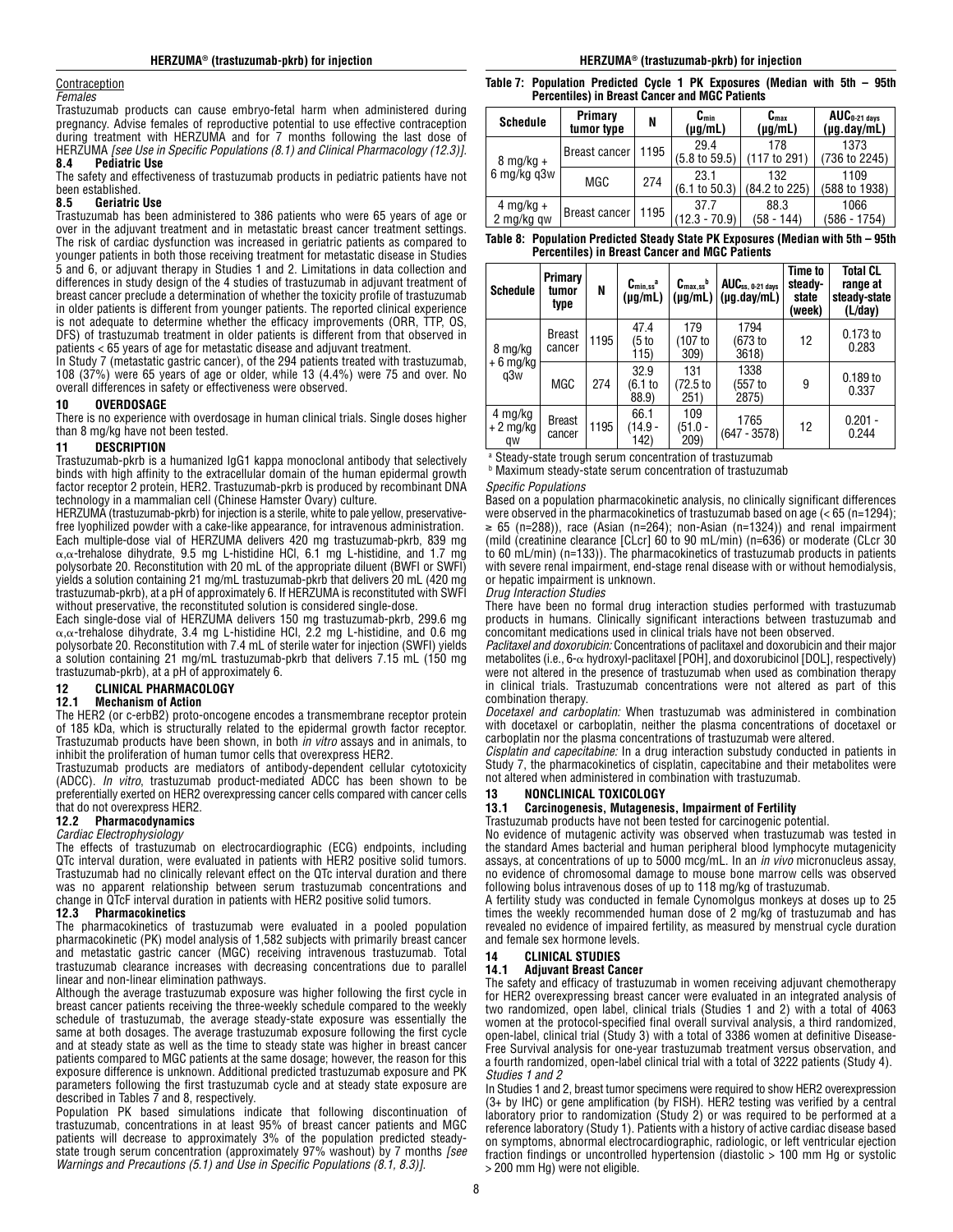### **Contraception**

#### *Females*

Trastuzumab products can cause embryo-fetal harm when administered during pregnancy. Advise females of reproductive potential to use effective contraception during treatment with HERZUMA and for 7 months following the last dose of HERZUMA *[see Use in Specific Populations (8.1) and Clinical Pharmacology (12.3)].* **8.4 Pediatric Use**

The safety and effectiveness of trastuzumab products in pediatric patients have not been established.

#### **8.5 Geriatric Use**

Trastuzumab has been administered to 386 patients who were 65 years of age or over in the adjuvant treatment and in metastatic breast cancer treatment settings. The risk of cardiac dysfunction was increased in geriatric patients as compared to younger patients in both those receiving treatment for metastatic disease in Studies 5 and 6, or adjuvant therapy in Studies 1 and 2. Limitations in data collection and differences in study design of the 4 studies of trastuzumab in adjuvant treatment of breast cancer preclude a determination of whether the toxicity profile of trastuzumab in older patients is different from younger patients. The reported clinical experience is not adequate to determine whether the efficacy improvements (ORR, TTP, OS, DFS) of trastuzumab treatment in older patients is different from that observed in patients < 65 years of age for metastatic disease and adjuvant treatment.

In Study 7 (metastatic gastric cancer), of the 294 patients treated with trastuzumab, 108 (37%) were 65 years of age or older, while 13 (4.4%) were 75 and over. No overall differences in safety or effectiveness were observed.

#### **10 OVERDOSAGE**

There is no experience with overdosage in human clinical trials. Single doses higher than 8 mg/kg have not been tested.

#### **11 DESCRIPTION**

Trastuzumab-pkrb is a humanized IgG1 kappa monoclonal antibody that selectively binds with high affinity to the extracellular domain of the human epidermal growth factor receptor 2 protein, HER2. Trastuzumab-pkrb is produced by recombinant DNA technology in a mammalian cell (Chinese Hamster Ovary) culture.

HERZUMA (trastuzumab-pkrb) for injection is a sterile, white to pale yellow, preservativefree lyophilized powder with a cake-like appearance, for intravenous administration. Each multiple-dose vial of HERZUMA delivers 420 mg trastuzumab-pkrb, 839 mg  $\alpha$ , $\alpha$ -trehalose dihydrate, 9.5 mg L-histidine HCl, 6.1 mg L-histidine, and 1.7 mg polysorbate 20. Reconstitution with 20 mL of the appropriate diluent (BWFI or SWFI) yields a solution containing 21 mg/mL trastuzumab-pkrb that delivers 20 mL (420 mg trastuzumab-pkrb), at a pH of approximately 6. If HERZUMA is reconstituted with SWFI without preservative, the reconstituted solution is considered single-dose.

Each single-dose vial of HERZUMA delivers 150 mg trastuzumab-pkrb, 299.6 mg  $\alpha,\alpha$ -trehalose dihydrate, 3.4 mg L-histidine HCl, 2.2 mg L-histidine, and 0.6 mg polysorbate 20. Reconstitution with 7.4 mL of sterile water for injection (SWFI) yields a solution containing 21 mg/mL trastuzumab-pkrb that delivers 7.15 mL (150 mg trastuzumab-pkrb), at a pH of approximately 6.

# **12 CLINICAL PHARMACOLOGY**

#### **12.1 Mechanism of Action**

The HER2 (or c-erbB2) proto-oncogene encodes a transmembrane receptor protein of 185 kDa, which is structurally related to the epidermal growth factor receptor. Trastuzumab products have been shown, in both *in vitro* assays and in animals, to inhibit the proliferation of human tumor cells that overexpress HER2.

Trastuzumab products are mediators of antibody-dependent cellular cytotoxicity (ADCC). *In vitro*, trastuzumab product-mediated ADCC has been shown to be preferentially exerted on HER2 overexpressing cancer cells compared with cancer cells that do not overexpress HER2.

# **12.2 Pharmacodynamics**

# *Cardiac Electrophysiology*

The effects of trastuzumab on electrocardiographic (ECG) endpoints, including QTc interval duration, were evaluated in patients with HER2 positive solid tumors. Trastuzumab had no clinically relevant effect on the QTc interval duration and there was no apparent relationship between serum trastuzumab concentrations and change in QTcF interval duration in patients with HER2 positive solid tumors.

#### **12.3 Pharmacokinetics**

The pharmacokinetics of trastuzumab were evaluated in a pooled population pharmacokinetic (PK) model analysis of 1,582 subjects with primarily breast cancer and metastatic gastric cancer (MGC) receiving intravenous trastuzumab. Total trastuzumab clearance increases with decreasing concentrations due to parallel linear and non-linear elimination pathways.

Although the average trastuzumab exposure was higher following the first cycle in breast cancer patients receiving the three-weekly schedule compared to the weekly schedule of trastuzumab, the average steady-state exposure was essentially the same at both dosages. The average trastuzumab exposure following the first cycle and at steady state as well as the time to steady state was higher in breast cancer patients compared to MGC patients at the same dosage; however, the reason for this exposure difference is unknown. Additional predicted trastuzumab exposure and PK parameters following the first trastuzumab cycle and at steady state exposure are described in Tables 7 and 8, respectively.

Population PK based simulations indicate that following discontinuation of trastuzumab, concentrations in at least 95% of breast cancer patients and MGC patients will decrease to approximately 3% of the population predicted steadystate trough serum concentration (approximately 97% washout) by 7 months *[see Warnings and Precautions (5.1) and Use in Specific Populations (8.1, 8.3)]*.

#### **Table 7: Population Predicted Cycle 1 PK Exposures (Median with 5th – 95th Percentiles) in Breast Cancer and MGC Patients**

| <b>Schedule</b>           | Primary<br>tumor type | N    | $C_{min}$<br>$(\mu g/mL)$        | C <sub>max</sub><br>$(\mu g/mL)$ | $AUC0-21 days$<br>$(\mu g.day/mL)$ |
|---------------------------|-----------------------|------|----------------------------------|----------------------------------|------------------------------------|
| $8 \text{ mg/kg} +$       | <b>Breast cancer</b>  | 1195 | 29.4<br>$(5.8 \text{ to } 59.5)$ | 178<br>(117 to 291)              | 1373<br>(736 to 2245)              |
| 6 mg/kg g3w               | MGC                   | 274  | 23.1<br>(6.1 to 50.3)            | 132<br>(84.2 to 225)             | 1109<br>(588 to 1938)              |
| $4$ mg/kg +<br>2 mg/kg qw | Breast cancer         | 1195 | 37.7<br>$(12.3 - 70.9)$          | 88.3<br>$(58 - 144)$             | 1066<br>(586 - 1754)               |

**Table 8: Population Predicted Steady State PK Exposures (Median with 5th – 95th Percentiles) in Breast Cancer and MGC Patients**

| Schedule                    | Primary<br>tumor<br>type | N    | $C_{\text{min,ss}}^a$<br>$(\mu g/mL)$ | $C_{max,ss}$ <sub>b</sub> | $AUC_{ss, 0-21 \text{ days}}$<br>$(\mu g/mL)$ $(\mu g.day/mL)$ | <b>Time to</b><br>steady-<br>state<br>(week) | <b>Total CL</b><br>range at<br>steady-state<br>(L/day) |
|-----------------------------|--------------------------|------|---------------------------------------|---------------------------|----------------------------------------------------------------|----------------------------------------------|--------------------------------------------------------|
| 8 mg/kg                     | <b>Breast</b><br>cancer  | 1195 | 47.4<br>(5 to<br>115)                 | 179<br>(107 to<br>309)    | 1794<br>(673 to<br>3618)                                       | 12                                           | 0.173 to<br>0.283                                      |
| $+6$ mg/kg<br>q3w           | <b>MGC</b>               | 274  | 32.9<br>(6.1 to<br>88.9)              | 131<br>(72.5 to<br>251)   | 1338<br>(557 to<br>2875)                                       | 9                                            | $0.189$ to<br>0.337                                    |
| 4 mg/kg<br>$+2$ mg/kg<br>qw | <b>Breast</b><br>cancer  | 1195 | 66.1<br>(14.9 -<br>142)               | 109<br>(51.0 -<br>209)    | 1765<br>$(647 - 3578)$                                         | 12                                           | $0.201 -$<br>0.244                                     |

<sup>a</sup> Steady-state trough serum concentration of trastuzumab

<sup>b</sup> Maximum steady-state serum concentration of trastuzumab

#### *Specific Populations*

Based on a population pharmacokinetic analysis, no clinically significant differences were observed in the pharmacokinetics of trastuzumab based on age (< 65 (n=1294);  $\geq 65$  (n=288)), race (Asian (n=264); non-Asian (n=1324)) and renal impairment (mild (creatinine clearance [CLcr] 60 to 90 mL/min) (n=636) or moderate (CLcr 30 to 60 mL/min) (n=133)). The pharmacokinetics of trastuzumab products in patients with severe renal impairment, end-stage renal disease with or without hemodialysis, or hepatic impairment is unknown.

#### *Drug Interaction Studies*

There have been no formal drug interaction studies performed with trastuzumab products in humans. Clinically significant interactions between trastuzumab and concomitant medications used in clinical trials have not been observed.

*Paclitaxel and doxorubicin:* Concentrations of paclitaxel and doxorubicin and their major metabolites (i.e., 6- $\alpha$  hydroxyl-paclitaxel [POH], and doxorubicinol [DOL], respectively) were not altered in the presence of trastuzumab when used as combination therapy in clinical trials. Trastuzumab concentrations were not altered as part of this combination therapy.

*Docetaxel and carboplatin:* When trastuzumab was administered in combination with docetaxel or carboplatin, neither the plasma concentrations of docetaxel or carboplatin nor the plasma concentrations of trastuzumab were altered.

*Cisplatin and capecitabine:* In a drug interaction substudy conducted in patients in Study 7, the pharmacokinetics of cisplatin, capecitabine and their metabolites were not altered when administered in combination with trastuzumab.

## **13 NONCLINICAL TOXICOLOGY**

# **13.1 Carcinogenesis, Mutagenesis, Impairment of Fertility**

Trastuzumab products have not been tested for carcinogenic potential.

No evidence of mutagenic activity was observed when trastuzumab was tested in the standard Ames bacterial and human peripheral blood lymphocyte mutagenicity assays, at concentrations of up to 5000 mcg/mL. In an *in vivo* micronucleus assay, no evidence of chromosomal damage to mouse bone marrow cells was observed following bolus intravenous doses of up to 118 mg/kg of trastuzumab.

A fertility study was conducted in female Cynomolgus monkeys at doses up to 25 times the weekly recommended human dose of 2 mg/kg of trastuzumab and has revealed no evidence of impaired fertility, as measured by menstrual cycle duration and female sex hormone levels.

# **14 CLINICAL STUDIES**

#### **14.1 Adjuvant Breast Cancer**

The safety and efficacy of trastuzumab in women receiving adjuvant chemotherapy for HER2 overexpressing breast cancer were evaluated in an integrated analysis of two randomized, open label, clinical trials (Studies 1 and 2) with a total of 4063 women at the protocol-specified final overall survival analysis, a third randomized, open-label, clinical trial (Study 3) with a total of 3386 women at definitive Disease-Free Survival analysis for one-year trastuzumab treatment versus observation, and a fourth randomized, open-label clinical trial with a total of 3222 patients (Study 4). *Studies 1 and 2*

In Studies 1 and 2, breast tumor specimens were required to show HER2 overexpression (3+ by IHC) or gene amplification (by FISH). HER2 testing was verified by a central laboratory prior to randomization (Study 2) or was required to be performed at a reference laboratory (Study 1). Patients with a history of active cardiac disease based on symptoms, abnormal electrocardiographic, radiologic, or left ventricular ejection fraction findings or uncontrolled hypertension (diastolic > 100 mm Hg or systolic > 200 mm Hg) were not eligible.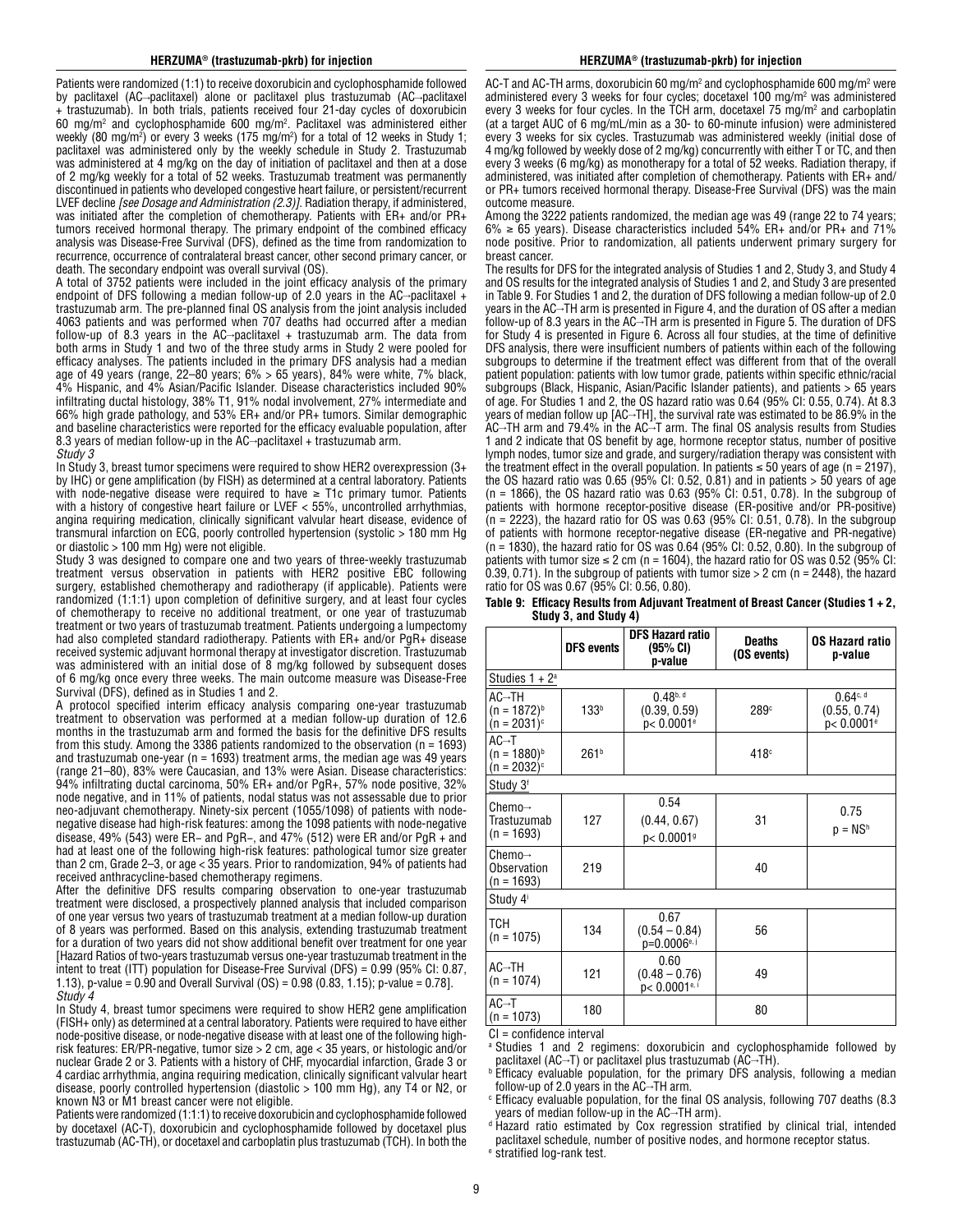Patients were randomized (1:1) to receive doxorubicin and cyclophosphamide followed by paclitaxel (AC→paclitaxel) alone or paclitaxel plus trastuzumab (AC→paclitaxel + trastuzumab). In both trials, patients received four 21-day cycles of doxorubicin 60 mg/m2 and cyclophosphamide 600 mg/m2 . Paclitaxel was administered either weekly (80 mg/m<sup>2</sup>) or every 3 weeks (175 mg/m<sup>2</sup>) for a total of 12 weeks in Study 1; paclitaxel was administered only by the weekly schedule in Study 2. Trastuzumab was administered at 4 mg/kg on the day of initiation of paclitaxel and then at a dose of 2 mg/kg weekly for a total of 52 weeks. Trastuzumab treatment was permanently discontinued in patients who developed congestive heart failure, or persistent/recurrent LVEF decline *[see Dosage and Administration (2.3)]*. Radiation therapy, if administered, was initiated after the completion of chemotherapy. Patients with ER+ and/or PR+ tumors received hormonal therapy. The primary endpoint of the combined efficacy analysis was Disease-Free Survival (DFS), defined as the time from randomization to recurrence, occurrence of contralateral breast cancer, other second primary cancer, or death. The secondary endpoint was overall survival (OS).

A total of 3752 patients were included in the joint efficacy analysis of the primary endpoint of DFS following a median follow-up of 2.0 years in the AC→paclitaxel + trastuzumab arm. The pre-planned final OS analysis from the joint analysis included 4063 patients and was performed when 707 deaths had occurred after a median follow-up of 8.3 years in the AC→paclitaxel + trastuzumab arm. The data from both arms in Study 1 and two of the three study arms in Study 2 were pooled for efficacy analyses. The patients included in the primary DFS analysis had a median age of 49 years (range, 22–80 years; 6% > 65 years), 84% were white, 7% black, 4% Hispanic, and 4% Asian/Pacific Islander. Disease characteristics included 90% infiltrating ductal histology, 38% T1, 91% nodal involvement, 27% intermediate and 66% high grade pathology, and 53% ER+ and/or PR+ tumors. Similar demographic and baseline characteristics were reported for the efficacy evaluable population, after 8.3 years of median follow-up in the AC→paclitaxel + trastuzumab arm. *Study 3*

In Study 3, breast tumor specimens were required to show HER2 overexpression (3+ by IHC) or gene amplification (by FISH) as determined at a central laboratory. Patients with node-negative disease were required to have  $\geq$  T1c primary tumor. Patients with nodo *negative* discussed that is required to have formed and *intervalsed* arrhythmias, angina requiring medication, clinically significant valvular heart disease, evidence of transmural infarction on ECG, poorly controlled hypertension (systolic > 180 mm Hg or diastolic > 100 mm Hg) were not eligible.

Study 3 was designed to compare one and two years of three-weekly trastuzumab treatment versus observation in patients with HER2 positive EBC following surgery, established chemotherapy and radiotherapy (if applicable). Patients were randomized (1:1:1) upon completion of definitive surgery, and at least four cycles of chemotherapy to receive no additional treatment, or one year of trastuzumab treatment or two years of trastuzumab treatment. Patients undergoing a lumpectomy had also completed standard radiotherapy. Patients with ER+ and/or PgR+ disease received systemic adjuvant hormonal therapy at investigator discretion. Trastuzumab was administered with an initial dose of 8 mg/kg followed by subsequent doses of 6 mg/kg once every three weeks. The main outcome measure was Disease-Free Survival (DFS), defined as in Studies 1 and 2.

A protocol specified interim efficacy analysis comparing one-year trastuzumab treatment to observation was performed at a median follow-up duration of 12.6 months in the trastuzumab arm and formed the basis for the definitive DFS results from this study. Among the 3386 patients randomized to the observation ( $n = 1693$ ) and trastuzumab one-year ( $n = 1693$ ) treatment arms, the median age was 49 years (range 21–80), 83% were Caucasian, and 13% were Asian. Disease characteristics: 94% infiltrating ductal carcinoma, 50% ER+ and/or PgR+, 57% node positive, 32% node negative, and in 11% of patients, nodal status was not assessable due to prior neo-adjuvant chemotherapy. Ninety-six percent (1055/1098) of patients with nodenegative disease had high-risk features: among the 1098 patients with node-negative disease, 49% (543) were ER− and PgR−, and 47% (512) were ER and/or PgR + and had at least one of the following high-risk features: pathological tumor size greater than 2 cm, Grade 2–3, or age < 35 years. Prior to randomization, 94% of patients had received anthracycline-based chemotherapy regimens.

After the definitive DFS results comparing observation to one-year trastuzumab treatment were disclosed, a prospectively planned analysis that included comparison of one year versus two years of trastuzumab treatment at a median follow-up duration of 8 years was performed. Based on this analysis, extending trastuzumab treatment for a duration of two years did not show additional benefit over treatment for one year [Hazard Ratios of two-years trastuzumab versus one-year trastuzumab treatment in the intent to treat (ITT) population for Disease-Free Survival (DFS) = 0.99 (95% CI: 0.87, 1.13), p-value =  $0.90$  and Overall Survival (OS) =  $0.98$  ( $0.83$ , 1.15); p-value =  $0.78$ ]. *Study 4*

In Study 4, breast tumor specimens were required to show HER2 gene amplification (FISH+ only) as determined at a central laboratory. Patients were required to have either node-positive disease, or node-negative disease with at least one of the following highrisk features: ER/PR-negative, tumor size > 2 cm, age < 35 years, or histologic and/or nuclear Grade 2 or 3. Patients with a history of CHF, myocardial infarction, Grade 3 or 4 cardiac arrhythmia, angina requiring medication, clinically significant valvular heart disease, poorly controlled hypertension (diastolic > 100 mm Hg), any T4 or N2, or known N3 or M1 breast cancer were not eligible.

Patients were randomized (1:1:1) to receive doxorubicin and cyclophosphamide followed by docetaxel (AC-T), doxorubicin and cyclophosphamide followed by docetaxel plus trastuzumab (AC-TH), or docetaxel and carboplatin plus trastuzumab (TCH). In both the

AC-T and AC-TH arms, doxorubicin 60 mg/m<sup>2</sup> and cyclophosphamide 600 mg/m<sup>2</sup> were administered every 3 weeks for four cycles; docetaxel 100 mg/m2 was administered every 3 weeks for four cycles. In the TCH arm, docetaxel 75 mg/m<sup>2</sup> and carboplatin (at a target AUC of 6 mg/mL/min as a 30- to 60-minute infusion) were administered every 3 weeks for six cycles. Trastuzumab was administered weekly (initial dose of 4 mg/kg followed by weekly dose of 2 mg/kg) concurrently with either T or TC, and then every 3 weeks (6 mg/kg) as monotherapy for a total of 52 weeks. Radiation therapy, if administered, was initiated after completion of chemotherapy. Patients with ER+ and/ or PR+ tumors received hormonal therapy. Disease-Free Survival (DFS) was the main outcome measure.

Among the 3222 patients randomized, the median age was 49 (range 22 to 74 years;  $6\% \ge 65$  years). Disease characteristics included  $\overline{5}4\%$  ER+ and/or PR+ and 71% node positive. Prior to randomization, all patients underwent primary surgery for breast cancer.

The results for DFS for the integrated analysis of Studies 1 and 2, Study 3, and Study 4 and OS results for the integrated analysis of Studies 1 and 2, and Study 3 are presented in Table 9. For Studies 1 and 2, the duration of DFS following a median follow-up of 2.0 years in the AC→TH arm is presented in Figure 4, and the duration of OS after a median follow-up of 8.3 years in the AC→TH arm is presented in Figure 5. The duration of DFS for Study 4 is presented in Figure 6. Across all four studies, at the time of definitive DFS analysis, there were insufficient numbers of patients within each of the following subgroups to determine if the treatment effect was different from that of the overall patient population: patients with low tumor grade, patients within specific ethnic/racial subgroups (Black, Hispanic, Asian/Pacific Islander patients), and patients > 65 years of age. For Studies 1 and 2, the OS hazard ratio was 0.64 (95% CI: 0.55, 0.74). At 8.3 years of median follow up [AC→TH], the survival rate was estimated to be 86.9% in the AC→TH arm and 79.4% in the AC→T arm. The final OS analysis results from Studies 1 and 2 indicate that OS benefit by age, hormone receptor status, number of positive lymph nodes, tumor size and grade, and surgery/radiation therapy was consistent with the treatment effect in the overall population. In patients  $\leq 50$  years of age (n = 2197), the OS hazard ratio was  $0.65$  (95% CI: 0.52, 0.81) and in patients  $> 50$  years of age  $(n = 1866)$ , the OS hazard ratio was 0.63 (95% CI: 0.51, 0.78). In the subgroup of patients with hormone receptor-positive disease (ER-positive and/or PR-positive)  $(n = 2223)$ , the hazard ratio for OS was 0.63 (95% CI: 0.51, 0.78). In the subgroup of patients with hormone receptor-negative disease (ER-negative and PR-negative) (n = 1830), the hazard ratio for OS was 0.64 (95% CI: 0.52, 0.80). In the subgroup of patients with tumor size  $\leq 2$  cm (n = 1604), the hazard ratio for OS was 0.52 (95% CI: 0.39, 0.71). In the subgroup of patients with tumor size  $>$  2 cm (n = 2448), the hazard ratio for OS was 0.67 (95% CI: 0.56, 0.80).

**Table 9: Efficacy Results from Adjuvant Treatment of Breast Cancer (Studies 1 + 2, Study 3, and Study 4)**

|                                                          | <b>DFS</b> events | <b>DFS Hazard ratio</b><br>(95% CI)<br>p-value            | <b>Deaths</b><br>(OS events) | OS Hazard ratio<br>p-value                            |
|----------------------------------------------------------|-------------------|-----------------------------------------------------------|------------------------------|-------------------------------------------------------|
| Studies $1 + 2^a$                                        |                   |                                                           |                              |                                                       |
| AC→TH<br>$(n = 1872)^{b}$<br>$(n = 2031)^c$              | 133 <sup>b</sup>  | $0.48^{b,d}$<br>(0.39, 0.59)<br>$p < 0.0001$ <sup>e</sup> | 289 <sup>c</sup>             | 0.64c, d<br>(0.55, 0.74)<br>$p < 0.0001$ <sup>e</sup> |
| $AC \rightarrow T$<br>$(n = 1880)^{b}$<br>$(n = 2032)^c$ | 261 <sup>b</sup>  |                                                           | 418c                         |                                                       |
| Study 3 <sup>f</sup>                                     |                   |                                                           |                              |                                                       |
| Chemo→<br>Trastuzumab<br>$(n = 1693)$                    | 127               | 0.54<br>(0.44, 0.67)<br>p<0.00019                         | 31                           | 0.75<br>$p = NSh$                                     |
| Chemo→<br>Observation<br>$(n = 1693)$                    | 219               |                                                           | 40                           |                                                       |
| Study 4 <sup>i</sup>                                     |                   |                                                           |                              |                                                       |
| TCH<br>$(n = 1075)$                                      | 134               | 0.67<br>$(0.54 - 0.84)$<br>p=0.0006 <sup>e, j</sup>       | 56                           |                                                       |
| AC→TH<br>$(n = 1074)$                                    | 121               | 0.60<br>$(0.48 - 0.76)$<br>p< 0.0001 <sup>e, i</sup>      | 49                           |                                                       |
| $AC \rightarrow T$<br>$(n = 1073)$<br>$\sim$             | 180<br>$\cdot$ .  |                                                           | 80                           |                                                       |

CI = confidence interval

<sup>a</sup> Studies 1 and 2 regimens: doxorubicin and cyclophosphamide followed by paclitaxel (AC→T) or paclitaxel plus trastuzumab (AC→TH).

**b Efficacy evaluable population, for the primary DFS analysis, following a median follow-up of 2.0 years in the AC-TH arm.** 

 $\textdegree$  Efficacy evaluable population, for the final OS analysis, following 707 deaths (8.3 years of median follow-up in the AC→TH arm).

<sup>d</sup> Hazard ratio estimated by Cox regression stratified by clinical trial, intended paclitaxel schedule, number of positive nodes, and hormone receptor status. <sup>e</sup> stratified log-rank test.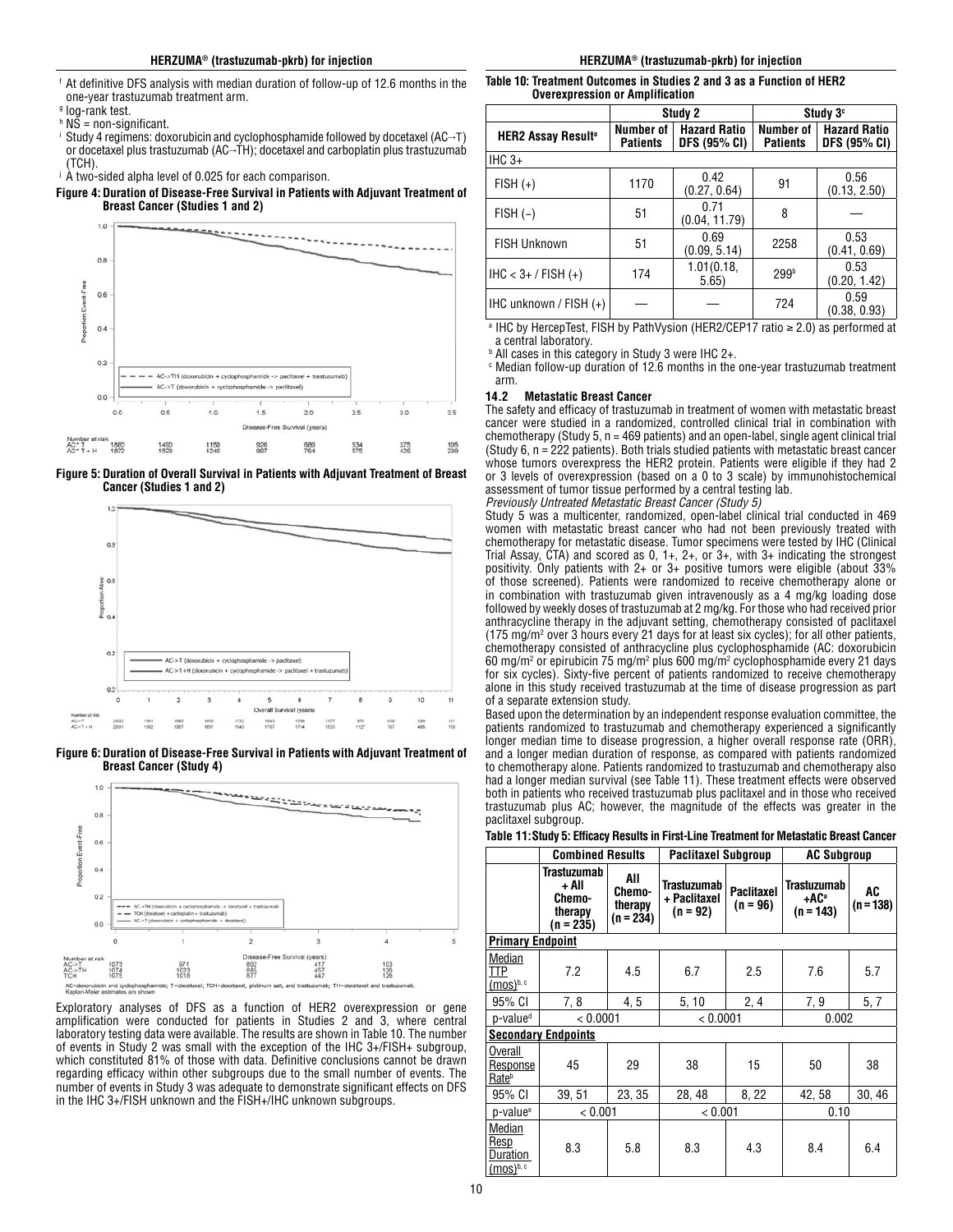- <sup>g</sup> log-rank test.
- $h$  NS = non-significant.
- <sup>i</sup> Study 4 regimens: doxorubicin and cyclophosphamide followed by docetaxel (AC→T) or docetaxel plus trastuzumab (AC→TH); docetaxel and carboplatin plus trastuzumab (TCH).
- $\frac{1}{2}$  A two-sided alpha level of 0.025 for each comparison.

**Figure 4:Duration of Disease-Free Survival in Patients with Adjuvant Treatment of Breast Cancer (Studies 1 and 2)**



**Figure 5:Duration of Overall Survival in Patients with Adjuvant Treatment of Breast**  Figure 5 **Cancer (Studies 1 and 2)**



**Figure 6:Duration of Disease-Free Survival in Patients with Adjuvant Treatment of Breast Cancer (Study 4)**



Exploratory analyses of DFS as a function of HER2 overexpression or gene amplification were conducted for patients in Studies 2 and 3, where central laboratory testing data were available. The results are shown in Table 10. The number of events in Study 2 was small with the exception of the IHC 3+/FISH+ subgroup, which constituted 81% of those with data. Definitive conclusions cannot be drawn regarding efficacy within other subgroups due to the small number of events. The number of events in Study 3 was adequate to demonstrate significant effects on DFS in the IHC 3+/FISH unknown and the FISH+/IHC unknown subgroups.

**Table 10: Treatment Outcomes in Studies 2 and 3 as a Function of HER2 Overexpression or Amplification**

|                                      | Study 2                      |                                            | Study 3 <sup>c</sup>         |                                            |
|--------------------------------------|------------------------------|--------------------------------------------|------------------------------|--------------------------------------------|
| <b>HER2 Assay Result<sup>®</sup></b> | Number of<br><b>Patients</b> | <b>Hazard Ratio</b><br><b>DFS (95% CI)</b> | Number of<br><b>Patients</b> | <b>Hazard Ratio</b><br><b>DFS (95% CI)</b> |
| $IHC 3+$                             |                              |                                            |                              |                                            |
| $FISH (+)$                           | 1170                         | 0.42<br>(0.27, 0.64)                       | 91                           | 0.56<br>(0.13, 2.50)                       |
| $FISH(-)$                            | 51                           | 0.71<br>(0.04, 11.79)                      | 8                            |                                            |
| <b>FISH Unknown</b>                  | 51                           | 0.69<br>(0.09, 5.14)                       | 2258                         | 0.53<br>(0.41, 0.69)                       |
| $HC < 3+ / FISH (+)$                 | 174                          | 1.01(0.18,<br>5.65                         | 299 <sup>b</sup>             | 0.53<br>(0.20, 1.42)                       |
| IHC unknown / FISH $(+)$             |                              |                                            | 724                          | 0.59<br>(0.38, 0.93)                       |

<sup>a</sup> IHC by HercepTest, FISH by PathVysion (HER2/CEP17 ratio ≥ 2.0) as performed at a central laboratory.

 $b$  All cases in this category in Study 3 were IHC 2+.

 $c$  Median follow-up duration of 12.6 months in the one-year trastuzumab treatment arm.

### **14.2 Metastatic Breast Cancer**

The safety and efficacy of trastuzumab in treatment of women with metastatic breast cancer were studied in a randomized, controlled clinical trial in combination with chemotherapy (Study 5, n = 469 patients) and an open-label, single agent clinical trial (Study 6, n = 222 patients). Both trials studied patients with metastatic breast cancer whose tumors overexpress the HER2 protein. Patients were eligible if they had 2 or 3 levels of overexpression (based on a 0 to 3 scale) by immunohistochemical assessment of tumor tissue performed by a central testing lab. *Previously Untreated Metastatic Breast Cancer (Study 5)*

Study 5 was a multicenter, randomized, open-label clinical trial conducted in 469 women with metastatic breast cancer who had not been previously treated with chemotherapy for metastatic disease. Tumor specimens were tested by IHC (Clinical Trial Assay, CTA) and scored as 0, 1+, 2+, or 3+, with 3+ indicating the strongest positivity. Only patients with 2+ or 3+ positive tumors were eligible (about 33% of those screened). Patients were randomized to receive chemotherapy alone or in combination with trastuzumab given intravenously as a 4 mg/kg loading dose followed by weekly doses of trastuzumab at 2 mg/kg. For those who had received prior anthracycline therapy in the adjuvant setting, chemotherapy consisted of paclitaxel (175 mg/m<sup>2</sup> over 3 hours every 21 days for at least six cycles); for all other patients, chemotherapy consisted of anthracycline plus cyclophosphamide (AC: doxorubicin 60 mg/m2 or epirubicin 75 mg/m2 plus 600 mg/m2 cyclophosphamide every 21 days for six cycles). Sixty-five percent of patients randomized to receive chemotherapy alone in this study received trastuzumab at the time of disease progression as part of a separate extension study.

Based upon the determination by an independent response evaluation committee, the patients randomized to trastuzumab and chemotherapy experienced a significantly longer median time to disease progression, a higher overall response rate (ORR), and a longer median duration of response, as compared with patients randomized to chemotherapy alone. Patients randomized to trastuzumab and chemotherapy also had a longer median survival (see Table 11). These treatment effects were observed both in patients who received trastuzumab plus paclitaxel and in those who received trastuzumab plus AC; however, the magnitude of the effects was greater in the paclitaxel subgroup.

|                                              | <b>Combined Results</b>                                |                                         | <b>Paclitaxel Subgroup</b>                       |                                 | <b>AC Subgroup</b>                             |                   |  |
|----------------------------------------------|--------------------------------------------------------|-----------------------------------------|--------------------------------------------------|---------------------------------|------------------------------------------------|-------------------|--|
|                                              | Trastuzumab<br>+ All<br>Chemo-<br>therapy<br>(n = 235) | All<br>Chemo-<br>therapy<br>$(n = 234)$ | <b>Trastuzumab</b><br>+ Paclitaxel<br>$(n = 92)$ | <b>Paclitaxel</b><br>$(n = 96)$ | Trastuzumab<br>+AC <sup>a</sup><br>$(n = 143)$ | AC<br>$(n = 138)$ |  |
| <u>Primary Endpoint</u>                      |                                                        |                                         |                                                  |                                 |                                                |                   |  |
| <u>Median</u><br>TTP<br>$(mos)^{b, c}$       | 7.2                                                    | 4.5                                     | 6.7                                              | 2.5                             | 7.6                                            | 5.7               |  |
| 95% CI                                       | 7,8                                                    | 4, 5                                    | 5, 10                                            | 2, 4                            | 7,9                                            | 5, 7              |  |
| p-value <sup>d</sup>                         | < 0.0001                                               |                                         | < 0.0001                                         |                                 | 0.002                                          |                   |  |
|                                              | <b>Secondary Endpoints</b>                             |                                         |                                                  |                                 |                                                |                   |  |
| Overall<br>Response<br>Rate <sup>b</sup>     | 45                                                     | 29                                      | 38                                               | 15                              | 50                                             | 38                |  |
| 95% CI                                       | 39, 51                                                 | 23, 35                                  | 28, 48                                           | 8, 22                           | 42, 58                                         | 30, 46            |  |
| p-value <sup>e</sup>                         | < 0.001                                                |                                         | < 0.001                                          |                                 | 0.10                                           |                   |  |
| Median<br>Resp<br>Duration<br>$(mos)^{b, c}$ | 8.3                                                    | 5.8                                     | 8.3                                              | 4.3                             | 8.4                                            | 6.4               |  |

**Table 11:Study 5: Efficacy Results in First-Line Treatment for Metastatic Breast Cancer**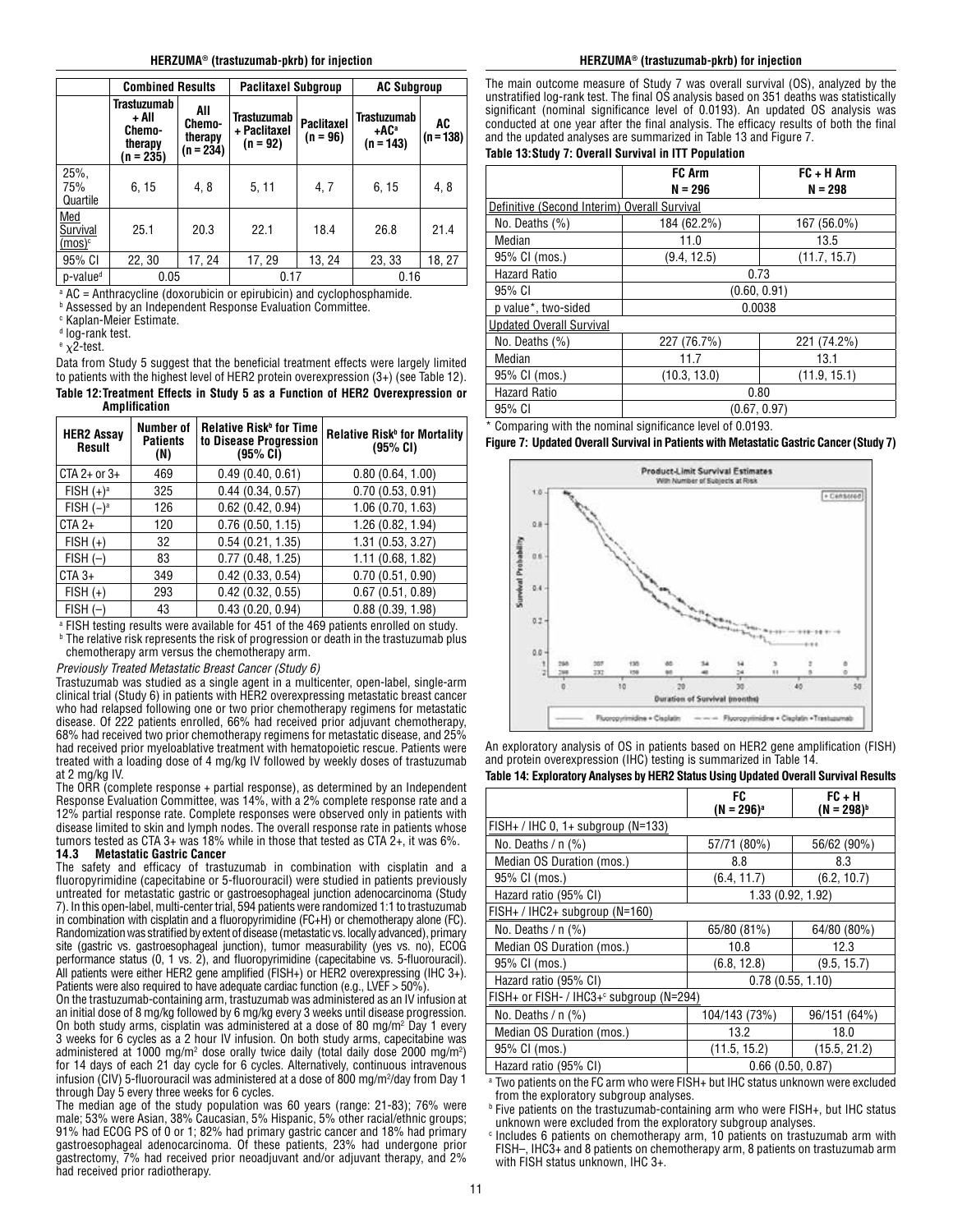|                                         | <b>Combined Results</b>                                  |                                         | <b>Paclitaxel Subgroup</b>                |                                 | <b>AC Subgroup</b>                        |                   |
|-----------------------------------------|----------------------------------------------------------|-----------------------------------------|-------------------------------------------|---------------------------------|-------------------------------------------|-------------------|
|                                         | Trastuzumab<br>+ All<br>Chemo-<br>therapy<br>$(n = 235)$ | All<br>Chemo-<br>therapy<br>$(n = 234)$ | Trastuzumab<br>+ Paclitaxel<br>$(n = 92)$ | <b>Paclitaxel</b><br>$(n = 96)$ | <b>Trastuzumab</b><br>+ACª<br>$(n = 143)$ | AC<br>$(n = 138)$ |
| 25%<br>75%<br>Quartile                  | 6, 15                                                    | 4, 8                                    | 5, 11                                     | 4, 7                            | 6, 15                                     | 4,8               |
| Med<br>Survival<br>$(mos)$ <sup>c</sup> | 25.1                                                     | 20.3                                    | 22.1                                      | 18.4                            | 26.8                                      | 21.4              |
| 95% CI                                  | 22, 30                                                   | 17, 24                                  | 17, 29                                    | 13, 24                          | 23, 33                                    | 18, 27            |
| p-value <sup>d</sup>                    | 0.05                                                     |                                         | 0.17                                      |                                 | 0.16                                      |                   |

 $^{\circ}$  AC = Anthracycline (doxorubicin or epirubicin) and cyclophosphamide.

**b Assessed by an Independent Response Evaluation Committee.** 

<sup>c</sup> Kaplan-Meier Estimate.

<sup>d</sup> log-rank test.

 $\frac{e}{2}$   $\chi$ 2-test.

Data from Study 5 suggest that the beneficial treatment effects were largely limited to patients with the highest level of HER2 protein overexpression (3+) (see Table 12). **Table 12:Treatment Effects in Study 5 as a Function of HER2 Overexpression or Amplification**

| <b>HER2 Assay</b><br>Result | Number of<br><b>Patients</b><br>(N) | Relative Risk <sup>b</sup> for Time<br>to Disease Progression<br>(95% CI) | Relative Risk <sup>b</sup> for Mortality<br>(95% CI) |
|-----------------------------|-------------------------------------|---------------------------------------------------------------------------|------------------------------------------------------|
| CTA $2+$ or $3+$            | 469                                 | 0.49(0.40, 0.61)                                                          | 0.80(0.64, 1.00)                                     |
| FISH $(+)^a$                | 325                                 | 0.44(0.34, 0.57)                                                          | 0.70(0.53, 0.91)                                     |
| $FISH (-)^a$                | 126                                 | $0.62$ (0.42, 0.94)                                                       | 1.06(0.70, 1.63)                                     |
| $CTA2+$                     | 120                                 | 0.76(0.50, 1.15)                                                          | 1.26 (0.82, 1.94)                                    |
| $FISH (+)$                  | 32                                  | 0.54(0.21, 1.35)                                                          | 1.31(0.53, 3.27)                                     |
| $FISH (-)$                  | 83                                  | 0.77(0.48, 1.25)                                                          | 1.11(0.68, 1.82)                                     |
| $CTA$ 3+                    | 349                                 | 0.42(0.33, 0.54)                                                          | 0.70(0.51, 0.90)                                     |
| $FISH (+)$                  | 293                                 | 0.42(0.32, 0.55)                                                          | 0.67(0.51, 0.89)                                     |
| $FISH(-)$                   | 43                                  | 0.43(0.20, 0.94)                                                          | 0.88(0.39, 1.98)                                     |

<sup>a</sup> FISH testing results were available for 451 of the 469 patients enrolled on study. **b** The relative risk represents the risk of progression or death in the trastuzumab plus chemotherapy arm versus the chemotherapy arm.

*Previously Treated Metastatic Breast Cancer (Study 6)*

Trastuzumab was studied as a single agent in a multicenter, open-label, single-arm clinical trial (Study 6) in patients with HER2 overexpressing metastatic breast cancer who had relapsed following one or two prior chemotherapy regimens for metastatic disease. Of 222 patients enrolled, 66% had received prior adjuvant chemotherapy, 68% had received two prior chemotherapy regimens for metastatic disease, and 25% had received prior myeloablative treatment with hematopoietic rescue. Patients were treated with a loading dose of 4 mg/kg IV followed by weekly doses of trastuzumab at 2 mg/kg IV.

The ORR (complete response + partial response), as determined by an Independent Response Evaluation Committee, was 14%, with a 2% complete response rate and a 12% partial response rate. Complete responses were observed only in patients with disease limited to skin and lymph nodes. The overall response rate in patients whose tumors tested as CTA 3+ was 18% while in those that tested as CTA 2+, it was 6%.<br>**14.3 Metastatic Gastric Cancer** 

# **14.3 Metastatic Gastric Cancer**

The safety and efficacy of trastuzumab in combination with cisplatin and a fluoropyrimidine (capecitabine or 5-fluorouracil) were studied in patients previously untreated for metastatic gastric or gastroesophageal junction adenocarcinoma (Study 7). In this open-label, multi-center trial, 594 patients were randomized 1:1 to trastuzumab in combination with cisplatin and a fluoropyrimidine (FC+H) or chemotherapy alone (FC). Randomization was stratified by extent of disease (metastatic vs. locally advanced), primary site (gastric vs. gastroesophageal junction), tumor measurability (yes vs. no), ECOG performance status (0, 1 vs. 2), and fluoropyrimidine (capecitabine vs. 5-fluorouracil). All patients were either HER2 gene amplified (FISH+) or HER2 overexpressing (IHC  $3+j$ . Patients were also required to have adequate cardiac function (e.g., LVEF >  $50\%$ )

On the trastuzumab-containing arm, trastuzumab was administered as an IV infusion at an initial dose of 8 mg/kg followed by 6 mg/kg every 3 weeks until disease progression. On both study arms, cisplatin was administered at a dose of 80 mg/m<sup>2</sup> Day 1 every 3 weeks for 6 cycles as a 2 hour IV infusion. On both study arms, capecitabine was administered at 1000 mg/m<sup>2</sup> dose orally twice daily (total daily dose 2000 mg/m<sup>2</sup>) for 14 days of each 21 day cycle for 6 cycles. Alternatively, continuous intravenous infusion (CIV) 5-fluorouracil was administered at a dose of 800 mg/m2 /day from Day 1 through Day 5 every three weeks for 6 cycles.

The median age of the study population was 60 years (range: 21-83); 76% were male; 53% were Asian, 38% Caucasian, 5% Hispanic, 5% other racial/ethnic groups; 91% had ECOG PS of 0 or 1; 82% had primary gastric cancer and 18% had primary gastroesophageal adenocarcinoma. Of these patients, 23% had undergone prior gastrectomy, 7% had received prior neoadjuvant and/or adjuvant therapy, and 2% had received prior radiotherapy.

The main outcome measure of Study 7 was overall survival (OS), analyzed by the unstratified log-rank test. The final OS analysis based on 351 deaths was statistically significant (nominal significance level of 0.0193). An updated OS analysis was conducted at one year after the final analysis. The efficacy results of both the final and the updated analyses are summarized in Table 13 and Figure 7.

# **Table 13:Study 7: Overall Survival in ITT Population**

|                                              | FC Arm<br>N = 296          | $FC + H$ Arm<br>$N = 298$ |  |  |  |
|----------------------------------------------|----------------------------|---------------------------|--|--|--|
| Definitive (Second Interim) Overall Survival |                            |                           |  |  |  |
| No. Deaths $(\%)$                            | 184 (62.2%)<br>167 (56.0%) |                           |  |  |  |
| Median                                       | 11.0                       | 13.5                      |  |  |  |
| 95% CI (mos.)                                | (9.4, 12.5)                | (11.7, 15.7)              |  |  |  |
| <b>Hazard Ratio</b>                          | 0.73                       |                           |  |  |  |
| 95% CI                                       | (0.60, 0.91)               |                           |  |  |  |
| p value*, two-sided                          | 0.0038                     |                           |  |  |  |
| <b>Updated Overall Survival</b>              |                            |                           |  |  |  |
| No. Deaths $(\%)$                            | 227 (76.7%)                | 221 (74.2%)               |  |  |  |
| Median                                       | 11.7                       | 13.1                      |  |  |  |
| 95% CI (mos.)                                | (10.3, 13.0)               | (11.9, 15.1)              |  |  |  |
| <b>Hazard Ratio</b>                          | 0.80                       |                           |  |  |  |
| 95% CI                                       | (0.67, 0.97)               |                           |  |  |  |

\* Comparing with the nominal significance level of 0.0193.

**Figure 7: Updated Overall Survival in Patients with Metastatic Gastric Cancer (Study 7)**



An exploratory analysis of OS in patients based on HER2 gene amplification (FISH) and protein overexpression (IHC) testing is summarized in Table 14. **Table 14: Exploratory Analyses by HER2 Status Using Updated Overall Survival Results**

|                                                      | FC<br>$(N = 296)^a$ | $FC + H$<br>$(N = 298)^{b}$ |  |  |  |
|------------------------------------------------------|---------------------|-----------------------------|--|--|--|
| $FISH+ /$ IHC 0, 1+ subgroup (N=133)                 |                     |                             |  |  |  |
| No. Deaths / $n$ (%)                                 | 57/71 (80%)         | 56/62 (90%)                 |  |  |  |
| Median OS Duration (mos.)                            | 8.8                 | 8.3                         |  |  |  |
| 95% CI (mos.)                                        | (6.4, 11.7)         | (6.2, 10.7)                 |  |  |  |
| Hazard ratio (95% CI)                                | 1.33 (0.92, 1.92)   |                             |  |  |  |
| $FISH+ / IHC2+ subgroup (N=160)$                     |                     |                             |  |  |  |
| No. Deaths $/ n$ (%)                                 | 65/80 (81%)         | 64/80 (80%)                 |  |  |  |
| Median OS Duration (mos.)                            | 10.8                | 12.3                        |  |  |  |
| 95% CI (mos.)                                        | (6.8, 12.8)         | (9.5, 15.7)                 |  |  |  |
| Hazard ratio (95% CI)                                | 0.78(0.55, 1.10)    |                             |  |  |  |
| FISH+ or FISH- / IHC3+ <sup>c</sup> subgroup (N=294) |                     |                             |  |  |  |
| No. Deaths / $n$ (%)                                 | 104/143 (73%)       | 96/151 (64%)                |  |  |  |
| Median OS Duration (mos.)                            | 13.2                | 18.0                        |  |  |  |
| 95% CI (mos.)                                        | (11.5, 15.2)        | (15.5, 21.2)                |  |  |  |
| Hazard ratio (95% CI)<br>0.66(0.50, 0.87)            |                     |                             |  |  |  |

<sup>a</sup> Two patients on the FC arm who were FISH+ but IHC status unknown were excluded from the exploratory subgroup analyses.

<sup>b</sup> Five patients on the trastuzumab-containing arm who were FISH+, but IHC status unknown were excluded from the exploratory subgroup analyses.

<sup>c</sup> Includes 6 patients on chemotherapy arm, 10 patients on trastuzumab arm with FISH–, IHC3+ and 8 patients on chemotherapy arm, 8 patients on trastuzumab arm with FISH status unknown, IHC 3+.